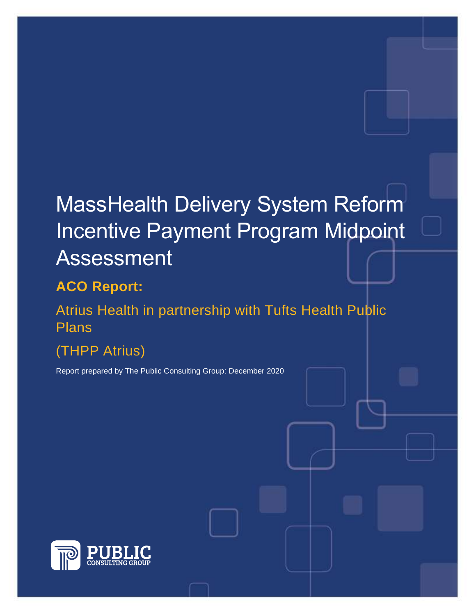# MassHealth Delivery System Reform Incentive Payment Program Midpoint Assessment

## **ACO Report:**

Atrius Health in partnership with Tufts Health Public Plans

## (THPP Atrius)

Report prepared by The Public Consulting Group: December 2020

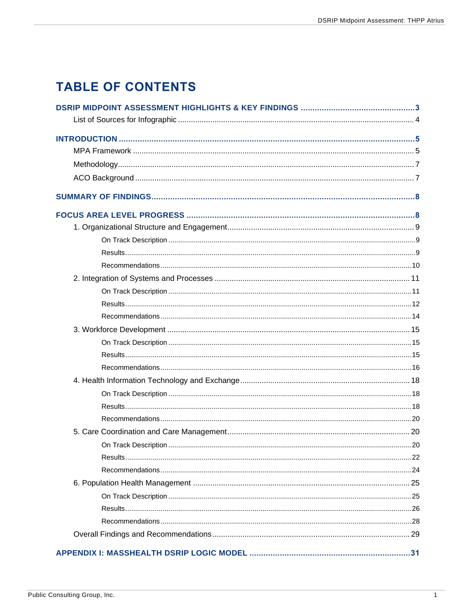## **TABLE OF CONTENTS**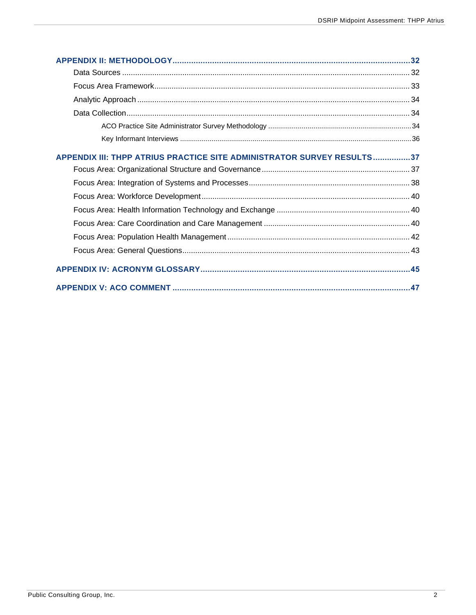| APPENDIX III: THPP ATRIUS PRACTICE SITE ADMINISTRATOR SURVEY RESULTS37 |  |
|------------------------------------------------------------------------|--|
|                                                                        |  |
|                                                                        |  |
|                                                                        |  |
|                                                                        |  |
|                                                                        |  |
|                                                                        |  |
|                                                                        |  |
|                                                                        |  |
|                                                                        |  |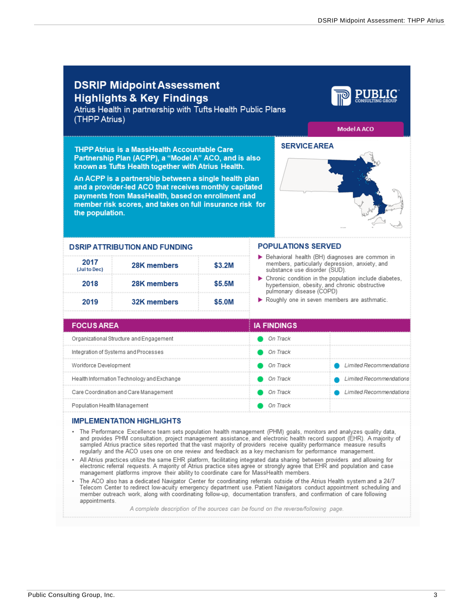<span id="page-3-0"></span>

| (THPP Atrius)                         | <b>DSRIP Midpoint Assessment</b><br><b>Highlights &amp; Key Findings</b><br>Atrius Health in partnership with Tufts Health Public Plans                                                                                                                                                                                                                                                                                                                                                                                                                                                                                                                                                                                                                                                                                                                                                                                                                                                                                                                                                                                                                                                                                 |          |                                                                                                                                   |                                                                                                                                       |                                             |  |
|---------------------------------------|-------------------------------------------------------------------------------------------------------------------------------------------------------------------------------------------------------------------------------------------------------------------------------------------------------------------------------------------------------------------------------------------------------------------------------------------------------------------------------------------------------------------------------------------------------------------------------------------------------------------------------------------------------------------------------------------------------------------------------------------------------------------------------------------------------------------------------------------------------------------------------------------------------------------------------------------------------------------------------------------------------------------------------------------------------------------------------------------------------------------------------------------------------------------------------------------------------------------------|----------|-----------------------------------------------------------------------------------------------------------------------------------|---------------------------------------------------------------------------------------------------------------------------------------|---------------------------------------------|--|
| the population.                       | <b>THPP Atrius is a MassHealth Accountable Care</b><br>Partnership Plan (ACPP), a "Model A" ACO, and is also<br>known as Tufts Health together with Atrius Health.<br>An ACPP is a partnership between a single health plan<br>and a provider-led ACO that receives monthly capitated<br>payments from MassHealth, based on enrollment and<br>member risk scores, and takes on full insurance risk for                                                                                                                                                                                                                                                                                                                                                                                                                                                                                                                                                                                                                                                                                                                                                                                                                  |          |                                                                                                                                   | <b>SERVICE AREA</b>                                                                                                                   | <b>Model A ACO</b>                          |  |
|                                       | <b>DSRIP ATTRIBUTION AND FUNDING</b>                                                                                                                                                                                                                                                                                                                                                                                                                                                                                                                                                                                                                                                                                                                                                                                                                                                                                                                                                                                                                                                                                                                                                                                    |          |                                                                                                                                   | <b>POPULATIONS SERVED</b>                                                                                                             |                                             |  |
| 2017<br>(Jul to Dec)                  | 28K members                                                                                                                                                                                                                                                                                                                                                                                                                                                                                                                                                                                                                                                                                                                                                                                                                                                                                                                                                                                                                                                                                                                                                                                                             | \$3.2M   | Behavioral health (BH) diagnoses are common in<br>members, particularly depression, anxiety, and<br>substance use disorder (SUD). |                                                                                                                                       |                                             |  |
| 2018                                  | 28K members<br>\$5.5M                                                                                                                                                                                                                                                                                                                                                                                                                                                                                                                                                                                                                                                                                                                                                                                                                                                                                                                                                                                                                                                                                                                                                                                                   |          |                                                                                                                                   | ▶ Chronic condition in the population include diabetes.<br>hypertension, obesity, and chronic obstructive<br>pulmonary disease (COPD) |                                             |  |
| 2019                                  | 32K members                                                                                                                                                                                                                                                                                                                                                                                                                                                                                                                                                                                                                                                                                                                                                                                                                                                                                                                                                                                                                                                                                                                                                                                                             | \$5.0M   |                                                                                                                                   |                                                                                                                                       | Roughly one in seven members are asthmatic. |  |
| <b>FOCUS AREA</b>                     |                                                                                                                                                                                                                                                                                                                                                                                                                                                                                                                                                                                                                                                                                                                                                                                                                                                                                                                                                                                                                                                                                                                                                                                                                         |          | <b>IA FINDINGS</b>                                                                                                                |                                                                                                                                       |                                             |  |
|                                       | Organizational Structure and Engagement                                                                                                                                                                                                                                                                                                                                                                                                                                                                                                                                                                                                                                                                                                                                                                                                                                                                                                                                                                                                                                                                                                                                                                                 |          | On Track                                                                                                                          |                                                                                                                                       |                                             |  |
|                                       | Integration of Systems and Processes                                                                                                                                                                                                                                                                                                                                                                                                                                                                                                                                                                                                                                                                                                                                                                                                                                                                                                                                                                                                                                                                                                                                                                                    |          | On Track                                                                                                                          |                                                                                                                                       |                                             |  |
| Workforce Development                 |                                                                                                                                                                                                                                                                                                                                                                                                                                                                                                                                                                                                                                                                                                                                                                                                                                                                                                                                                                                                                                                                                                                                                                                                                         |          | On Track                                                                                                                          |                                                                                                                                       | Limited Recommendations                     |  |
|                                       | Health Information Technology and Exchange                                                                                                                                                                                                                                                                                                                                                                                                                                                                                                                                                                                                                                                                                                                                                                                                                                                                                                                                                                                                                                                                                                                                                                              |          | On Track                                                                                                                          |                                                                                                                                       |                                             |  |
| Care Coordination and Care Management |                                                                                                                                                                                                                                                                                                                                                                                                                                                                                                                                                                                                                                                                                                                                                                                                                                                                                                                                                                                                                                                                                                                                                                                                                         | On Track |                                                                                                                                   | Limited Recommend                                                                                                                     |                                             |  |
| Population Health Management          |                                                                                                                                                                                                                                                                                                                                                                                                                                                                                                                                                                                                                                                                                                                                                                                                                                                                                                                                                                                                                                                                                                                                                                                                                         | On Track |                                                                                                                                   |                                                                                                                                       |                                             |  |
|                                       | <b>IMPLEMENTATION HIGHLIGHTS</b>                                                                                                                                                                                                                                                                                                                                                                                                                                                                                                                                                                                                                                                                                                                                                                                                                                                                                                                                                                                                                                                                                                                                                                                        |          |                                                                                                                                   |                                                                                                                                       |                                             |  |
| ٠<br>appointments.                    | The Performance Excellence team sets population health management (PHM) goals, monitors and analyzes quality data,<br>and provides PHM consultation, project management assistance, and electronic health record support (EHR). A majority of<br>sampled Atrius practice sites reported that the vast majority of providers receive quality performance measure results<br>regularly and the ACO uses one on one review and feedback as a key mechanism for performance management.<br>• All Atrius practices utilize the same EHR platform, facilitating integrated data sharing between providers and allowing for<br>electronic referral requests. A majority of Atrius practice sites agree or strongly agree that EHR and population and case<br>management platforms improve their ability to coordinate care for MassHealth members.<br>The ACO also has a dedicated Navigator Center for coordinating referrals outside of the Atrius Health system and a 24/7<br>Telecom Center to redirect low-acuity emergency department use. Patient Navigators conduct appointment scheduling and<br>member outreach work, along with coordinating follow-up, documentation transfers, and confirmation of care following |          |                                                                                                                                   |                                                                                                                                       |                                             |  |

A complete description of the sources can be found on the reverse/following page.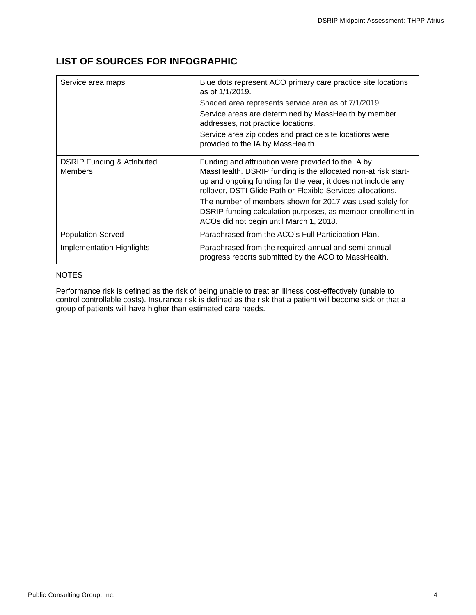## <span id="page-4-0"></span>**LIST OF SOURCES FOR INFOGRAPHIC**

| Service area maps                                       | Blue dots represent ACO primary care practice site locations<br>as of $1/1/2019$ .                                                                                                                                                                 |
|---------------------------------------------------------|----------------------------------------------------------------------------------------------------------------------------------------------------------------------------------------------------------------------------------------------------|
|                                                         | Shaded area represents service area as of 7/1/2019.                                                                                                                                                                                                |
|                                                         | Service areas are determined by MassHealth by member<br>addresses, not practice locations.                                                                                                                                                         |
|                                                         | Service area zip codes and practice site locations were<br>provided to the IA by MassHealth.                                                                                                                                                       |
| <b>DSRIP Funding &amp; Attributed</b><br><b>Members</b> | Funding and attribution were provided to the IA by<br>MassHealth. DSRIP funding is the allocated non-at risk start-<br>up and ongoing funding for the year; it does not include any<br>rollover, DSTI Glide Path or Flexible Services allocations. |
|                                                         | The number of members shown for 2017 was used solely for<br>DSRIP funding calculation purposes, as member enrollment in<br>ACOs did not begin until March 1, 2018.                                                                                 |
| <b>Population Served</b>                                | Paraphrased from the ACO's Full Participation Plan.                                                                                                                                                                                                |
| <b>Implementation Highlights</b>                        | Paraphrased from the required annual and semi-annual<br>progress reports submitted by the ACO to MassHealth.                                                                                                                                       |

#### **NOTES**

Performance risk is defined as the risk of being unable to treat an illness cost-effectively (unable to control controllable costs). Insurance risk is defined as the risk that a patient will become sick or that a group of patients will have higher than estimated care needs.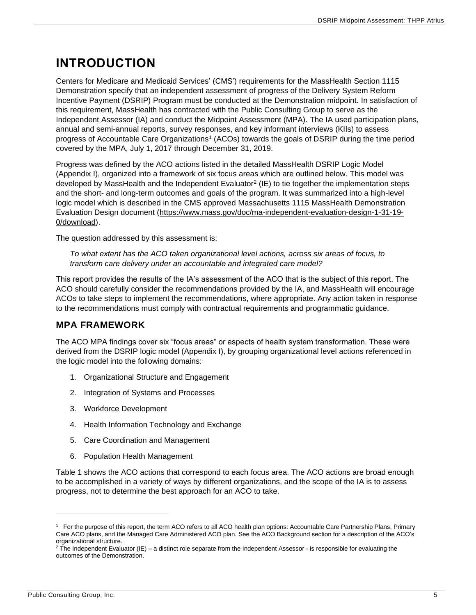## <span id="page-5-0"></span>**INTRODUCTION**

Centers for Medicare and Medicaid Services' (CMS') requirements for the MassHealth Section 1115 Demonstration specify that an independent assessment of progress of the Delivery System Reform Incentive Payment (DSRIP) Program must be conducted at the Demonstration midpoint. In satisfaction of this requirement, MassHealth has contracted with the Public Consulting Group to serve as the Independent Assessor (IA) and conduct the Midpoint Assessment (MPA). The IA used participation plans, annual and semi-annual reports, survey responses, and key informant interviews (KIIs) to assess progress of Accountable Care Organizations<sup>1</sup> (ACOs) towards the goals of DSRIP during the time period covered by the MPA, July 1, 2017 through December 31, 2019.

Progress was defined by the ACO actions listed in the detailed MassHealth DSRIP Logic Model (Appendix I), organized into a framework of six focus areas which are outlined below. This model was developed by MassHealth and the Independent Evaluator<sup>2</sup> (IE) to tie together the implementation steps and the short- and long-term outcomes and goals of the program. It was summarized into a high-level logic model which is described in the CMS approved Massachusetts 1115 MassHealth Demonstration Evaluation Design document [\(https://www.mass.gov/doc/ma-independent-evaluation-design-1-31-19-](https://www.mass.gov/doc/ma-independent-evaluation-design-1-31-19-0/download) [0/download\)](https://www.mass.gov/doc/ma-independent-evaluation-design-1-31-19-0/download).

The question addressed by this assessment is:

*To what extent has the ACO taken organizational level actions, across six areas of focus, to transform care delivery under an accountable and integrated care model?*

This report provides the results of the IA's assessment of the ACO that is the subject of this report. The ACO should carefully consider the recommendations provided by the IA, and MassHealth will encourage ACOs to take steps to implement the recommendations, where appropriate. Any action taken in response to the recommendations must comply with contractual requirements and programmatic guidance.

## <span id="page-5-1"></span>**MPA FRAMEWORK**

The ACO MPA findings cover six "focus areas" or aspects of health system transformation. These were derived from the DSRIP logic model (Appendix I), by grouping organizational level actions referenced in the logic model into the following domains:

- 1. Organizational Structure and Engagement
- 2. Integration of Systems and Processes
- 3. Workforce Development
- 4. Health Information Technology and Exchange
- 5. Care Coordination and Management
- 6. Population Health Management

Table 1 shows the ACO actions that correspond to each focus area. The ACO actions are broad enough to be accomplished in a variety of ways by different organizations, and the scope of the IA is to assess progress, not to determine the best approach for an ACO to take.

<sup>1</sup> For the purpose of this report, the term ACO refers to all ACO health plan options: Accountable Care Partnership Plans, Primary Care ACO plans, and the Managed Care Administered ACO plan. See the ACO Background section for a description of the ACO's organizational structure.

 $2$  The Independent Evaluator (IE) – a distinct role separate from the Independent Assessor - is responsible for evaluating the outcomes of the Demonstration.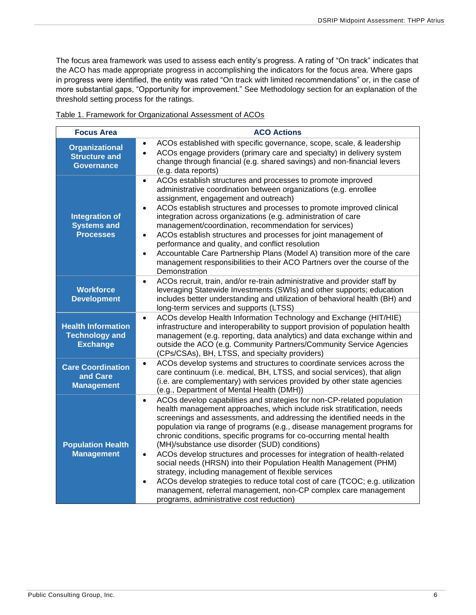The focus area framework was used to assess each entity's progress. A rating of "On track" indicates that the ACO has made appropriate progress in accomplishing the indicators for the focus area. Where gaps in progress were identified, the entity was rated "On track with limited recommendations" or, in the case of more substantial gaps, "Opportunity for improvement." See Methodology section for an explanation of the threshold setting process for the ratings.

| <b>Focus Area</b>                                                     | <b>ACO Actions</b>                                                                                                                                                                                                                                                                                                                                                                                                                                                                                                                                                                                                                                                                                                                                                                                                                                             |
|-----------------------------------------------------------------------|----------------------------------------------------------------------------------------------------------------------------------------------------------------------------------------------------------------------------------------------------------------------------------------------------------------------------------------------------------------------------------------------------------------------------------------------------------------------------------------------------------------------------------------------------------------------------------------------------------------------------------------------------------------------------------------------------------------------------------------------------------------------------------------------------------------------------------------------------------------|
| <b>Organizational</b><br><b>Structure and</b><br><b>Governance</b>    | ACOs established with specific governance, scope, scale, & leadership<br>ACOs engage providers (primary care and specialty) in delivery system<br>change through financial (e.g. shared savings) and non-financial levers<br>(e.g. data reports)                                                                                                                                                                                                                                                                                                                                                                                                                                                                                                                                                                                                               |
| <b>Integration of</b><br><b>Systems and</b><br><b>Processes</b>       | ACOs establish structures and processes to promote improved<br>$\bullet$<br>administrative coordination between organizations (e.g. enrollee<br>assignment, engagement and outreach)<br>ACOs establish structures and processes to promote improved clinical<br>integration across organizations (e.g. administration of care<br>management/coordination, recommendation for services)<br>ACOs establish structures and processes for joint management of<br>$\bullet$<br>performance and quality, and conflict resolution<br>Accountable Care Partnership Plans (Model A) transition more of the care<br>$\bullet$<br>management responsibilities to their ACO Partners over the course of the<br>Demonstration                                                                                                                                               |
| <b>Workforce</b><br><b>Development</b>                                | ACOs recruit, train, and/or re-train administrative and provider staff by<br>$\bullet$<br>leveraging Statewide Investments (SWIs) and other supports; education<br>includes better understanding and utilization of behavioral health (BH) and<br>long-term services and supports (LTSS)                                                                                                                                                                                                                                                                                                                                                                                                                                                                                                                                                                       |
| <b>Health Information</b><br><b>Technology and</b><br><b>Exchange</b> | ACOs develop Health Information Technology and Exchange (HIT/HIE)<br>$\bullet$<br>infrastructure and interoperability to support provision of population health<br>management (e.g. reporting, data analytics) and data exchange within and<br>outside the ACO (e.g. Community Partners/Community Service Agencies<br>(CPs/CSAs), BH, LTSS, and specialty providers)                                                                                                                                                                                                                                                                                                                                                                                                                                                                                           |
| <b>Care Coordination</b><br>and Care<br><b>Management</b>             | ACOs develop systems and structures to coordinate services across the<br>$\bullet$<br>care continuum (i.e. medical, BH, LTSS, and social services), that align<br>(i.e. are complementary) with services provided by other state agencies<br>(e.g., Department of Mental Health (DMH))                                                                                                                                                                                                                                                                                                                                                                                                                                                                                                                                                                         |
| <b>Population Health</b><br><b>Management</b>                         | ACOs develop capabilities and strategies for non-CP-related population<br>$\bullet$<br>health management approaches, which include risk stratification, needs<br>screenings and assessments, and addressing the identified needs in the<br>population via range of programs (e.g., disease management programs for<br>chronic conditions, specific programs for co-occurring mental health<br>(MH)/substance use disorder (SUD) conditions)<br>ACOs develop structures and processes for integration of health-related<br>$\bullet$<br>social needs (HRSN) into their Population Health Management (PHM)<br>strategy, including management of flexible services<br>ACOs develop strategies to reduce total cost of care (TCOC; e.g. utilization<br>management, referral management, non-CP complex care management<br>programs, administrative cost reduction) |

Table 1. Framework for Organizational Assessment of ACOs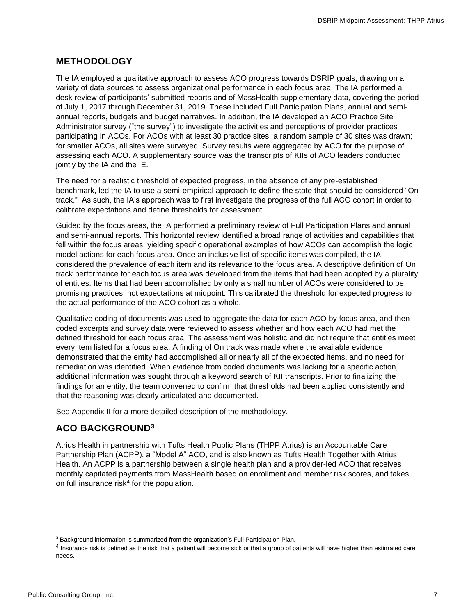## <span id="page-7-0"></span>**METHODOLOGY**

The IA employed a qualitative approach to assess ACO progress towards DSRIP goals, drawing on a variety of data sources to assess organizational performance in each focus area. The IA performed a desk review of participants' submitted reports and of MassHealth supplementary data, covering the period of July 1, 2017 through December 31, 2019. These included Full Participation Plans, annual and semiannual reports, budgets and budget narratives. In addition, the IA developed an ACO Practice Site Administrator survey ("the survey") to investigate the activities and perceptions of provider practices participating in ACOs. For ACOs with at least 30 practice sites, a random sample of 30 sites was drawn; for smaller ACOs, all sites were surveyed. Survey results were aggregated by ACO for the purpose of assessing each ACO. A supplementary source was the transcripts of KIIs of ACO leaders conducted jointly by the IA and the IE.

The need for a realistic threshold of expected progress, in the absence of any pre-established benchmark, led the IA to use a semi-empirical approach to define the state that should be considered "On track." As such, the IA's approach was to first investigate the progress of the full ACO cohort in order to calibrate expectations and define thresholds for assessment.

Guided by the focus areas, the IA performed a preliminary review of Full Participation Plans and annual and semi-annual reports. This horizontal review identified a broad range of activities and capabilities that fell within the focus areas, yielding specific operational examples of how ACOs can accomplish the logic model actions for each focus area. Once an inclusive list of specific items was compiled, the IA considered the prevalence of each item and its relevance to the focus area. A descriptive definition of On track performance for each focus area was developed from the items that had been adopted by a plurality of entities. Items that had been accomplished by only a small number of ACOs were considered to be promising practices, not expectations at midpoint. This calibrated the threshold for expected progress to the actual performance of the ACO cohort as a whole.

Qualitative coding of documents was used to aggregate the data for each ACO by focus area, and then coded excerpts and survey data were reviewed to assess whether and how each ACO had met the defined threshold for each focus area. The assessment was holistic and did not require that entities meet every item listed for a focus area. A finding of On track was made where the available evidence demonstrated that the entity had accomplished all or nearly all of the expected items, and no need for remediation was identified. When evidence from coded documents was lacking for a specific action, additional information was sought through a keyword search of KII transcripts. Prior to finalizing the findings for an entity, the team convened to confirm that thresholds had been applied consistently and that the reasoning was clearly articulated and documented.

See Appendix II for a more detailed description of the methodology.

## <span id="page-7-1"></span>**ACO BACKGROUND<sup>3</sup>**

Atrius Health in partnership with Tufts Health Public Plans (THPP Atrius) is an Accountable Care Partnership Plan (ACPP), a "Model A" ACO, and is also known as Tufts Health Together with Atrius Health. An ACPP is a partnership between a single health plan and a provider-led ACO that receives monthly capitated payments from MassHealth based on enrollment and member risk scores, and takes on full insurance risk<sup>4</sup> for the population.

<sup>&</sup>lt;sup>3</sup> Background information is summarized from the organization's Full Participation Plan.

<sup>&</sup>lt;sup>4</sup> Insurance risk is defined as the risk that a patient will become sick or that a group of patients will have higher than estimated care needs.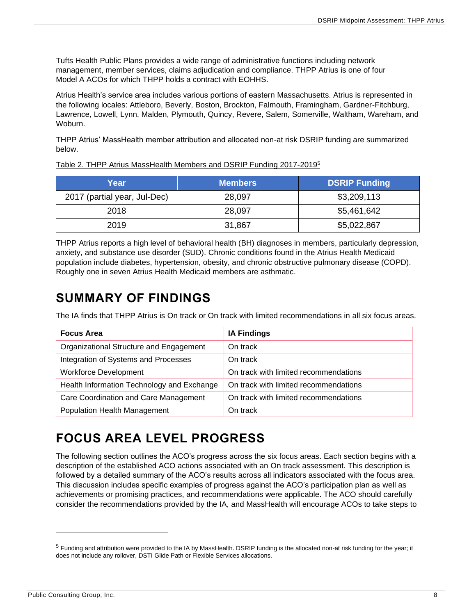Tufts Health Public Plans provides a wide range of administrative functions including network management, member services, claims adjudication and compliance. THPP Atrius is one of four Model A ACOs for which THPP holds a contract with EOHHS.

Atrius Health's service area includes various portions of eastern Massachusetts. Atrius is represented in the following locales: Attleboro, Beverly, Boston, Brockton, Falmouth, Framingham, Gardner-Fitchburg, Lawrence, Lowell, Lynn, Malden, Plymouth, Quincy, Revere, Salem, Somerville, Waltham, Wareham, and Woburn.

THPP Atrius' MassHealth member attribution and allocated non-at risk DSRIP funding are summarized below.

| Year                         | <b>Members</b> | <b>DSRIP Funding</b> |
|------------------------------|----------------|----------------------|
| 2017 (partial year, Jul-Dec) | 28,097         | \$3,209,113          |
| 2018                         | 28,097         | \$5,461,642          |
| 2019                         | 31,867         | \$5,022,867          |

Table 2. THPP Atrius MassHealth Members and DSRIP Funding 2017-2019<sup>5</sup>

THPP Atrius reports a high level of behavioral health (BH) diagnoses in members, particularly depression, anxiety, and substance use disorder (SUD). Chronic conditions found in the Atrius Health Medicaid population include diabetes, hypertension, obesity, and chronic obstructive pulmonary disease (COPD). Roughly one in seven Atrius Health Medicaid members are asthmatic.

## <span id="page-8-0"></span>**SUMMARY OF FINDINGS**

The IA finds that THPP Atrius is On track or On track with limited recommendations in all six focus areas.

| <b>Focus Area</b>                          | <b>IA Findings</b>                    |
|--------------------------------------------|---------------------------------------|
| Organizational Structure and Engagement    | On track                              |
| Integration of Systems and Processes       | On track                              |
| <b>Workforce Development</b>               | On track with limited recommendations |
| Health Information Technology and Exchange | On track with limited recommendations |
| Care Coordination and Care Management      | On track with limited recommendations |
| <b>Population Health Management</b>        | On track                              |

## <span id="page-8-1"></span>**FOCUS AREA LEVEL PROGRESS**

The following section outlines the ACO's progress across the six focus areas. Each section begins with a description of the established ACO actions associated with an On track assessment. This description is followed by a detailed summary of the ACO's results across all indicators associated with the focus area. This discussion includes specific examples of progress against the ACO's participation plan as well as achievements or promising practices, and recommendations were applicable. The ACO should carefully consider the recommendations provided by the IA, and MassHealth will encourage ACOs to take steps to

 $5$  Funding and attribution were provided to the IA by MassHealth. DSRIP funding is the allocated non-at risk funding for the year; it does not include any rollover, DSTI Glide Path or Flexible Services allocations.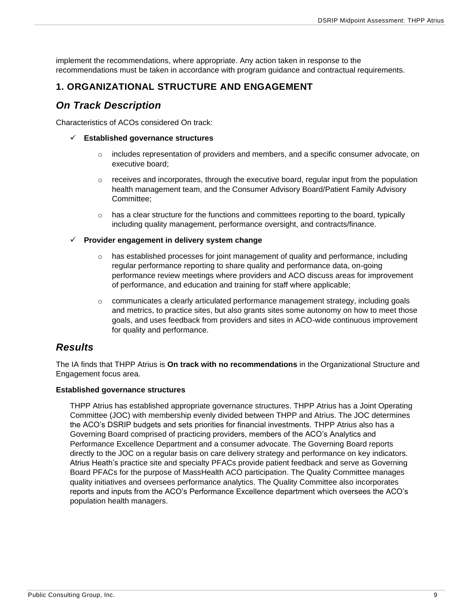implement the recommendations, where appropriate. Any action taken in response to the recommendations must be taken in accordance with program guidance and contractual requirements.

## <span id="page-9-0"></span>**1. ORGANIZATIONAL STRUCTURE AND ENGAGEMENT**

## <span id="page-9-1"></span>*On Track Description*

Characteristics of ACOs considered On track:

- ✓ **Established governance structures**
	- $\circ$  includes representation of providers and members, and a specific consumer advocate, on executive board;
	- $\circ$  receives and incorporates, through the executive board, regular input from the population health management team, and the Consumer Advisory Board/Patient Family Advisory Committee;
	- $\circ$  has a clear structure for the functions and committees reporting to the board, typically including quality management, performance oversight, and contracts/finance.

#### ✓ **Provider engagement in delivery system change**

- has established processes for joint management of quality and performance, including regular performance reporting to share quality and performance data, on-going performance review meetings where providers and ACO discuss areas for improvement of performance, and education and training for staff where applicable;
- $\circ$  communicates a clearly articulated performance management strategy, including goals and metrics, to practice sites, but also grants sites some autonomy on how to meet those goals, and uses feedback from providers and sites in ACO-wide continuous improvement for quality and performance.

### <span id="page-9-2"></span>*Results*

The IA finds that THPP Atrius is **On track with no recommendations** in the Organizational Structure and Engagement focus area.

#### **Established governance structures**

THPP Atrius has established appropriate governance structures. THPP Atrius has a Joint Operating Committee (JOC) with membership evenly divided between THPP and Atrius. The JOC determines the ACO's DSRIP budgets and sets priorities for financial investments. THPP Atrius also has a Governing Board comprised of practicing providers, members of the ACO's Analytics and Performance Excellence Department and a consumer advocate. The Governing Board reports directly to the JOC on a regular basis on care delivery strategy and performance on key indicators. Atrius Heath's practice site and specialty PFACs provide patient feedback and serve as Governing Board PFACs for the purpose of MassHealth ACO participation. The Quality Committee manages quality initiatives and oversees performance analytics. The Quality Committee also incorporates reports and inputs from the ACO's Performance Excellence department which oversees the ACO's population health managers.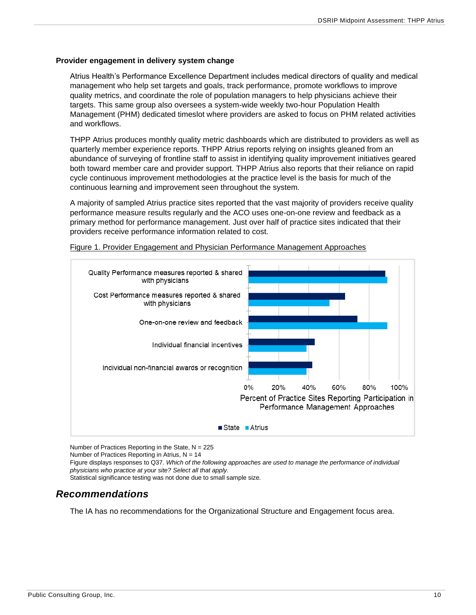#### **Provider engagement in delivery system change**

Atrius Health's Performance Excellence Department includes medical directors of quality and medical management who help set targets and goals, track performance, promote workflows to improve quality metrics, and coordinate the role of population managers to help physicians achieve their targets. This same group also oversees a system-wide weekly two-hour Population Health Management (PHM) dedicated timeslot where providers are asked to focus on PHM related activities and workflows.

THPP Atrius produces monthly quality metric dashboards which are distributed to providers as well as quarterly member experience reports. THPP Atrius reports relying on insights gleaned from an abundance of surveying of frontline staff to assist in identifying quality improvement initiatives geared both toward member care and provider support. THPP Atrius also reports that their reliance on rapid cycle continuous improvement methodologies at the practice level is the basis for much of the continuous learning and improvement seen throughout the system.

A majority of sampled Atrius practice sites reported that the vast majority of providers receive quality performance measure results regularly and the ACO uses one-on-one review and feedback as a primary method for performance management. Just over half of practice sites indicated that their providers receive performance information related to cost.



Figure 1. Provider Engagement and Physician Performance Management Approaches

Number of Practices Reporting in the State,  $N = 225$ 

Number of Practices Reporting in Atrius,  $N = 14$ 

Figure displays responses to Q37. *Which of the following approaches are used to manage the performance of individual physicians who practice at your site? Select all that apply.*

Statistical significance testing was not done due to small sample size.

## <span id="page-10-0"></span>*Recommendations*

The IA has no recommendations for the Organizational Structure and Engagement focus area.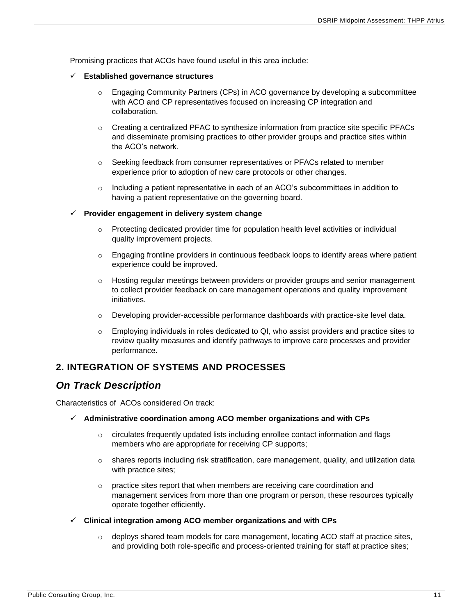Promising practices that ACOs have found useful in this area include:

#### ✓ **Established governance structures**

- $\circ$  Engaging Community Partners (CPs) in ACO governance by developing a subcommittee with ACO and CP representatives focused on increasing CP integration and collaboration.
- $\circ$  Creating a centralized PFAC to synthesize information from practice site specific PFACs and disseminate promising practices to other provider groups and practice sites within the ACO's network.
- o Seeking feedback from consumer representatives or PFACs related to member experience prior to adoption of new care protocols or other changes.
- $\circ$  Including a patient representative in each of an ACO's subcommittees in addition to having a patient representative on the governing board.

#### ✓ **Provider engagement in delivery system change**

- $\circ$  Protecting dedicated provider time for population health level activities or individual quality improvement projects.
- o Engaging frontline providers in continuous feedback loops to identify areas where patient experience could be improved.
- $\circ$  Hosting regular meetings between providers or provider groups and senior management to collect provider feedback on care management operations and quality improvement initiatives.
- $\circ$  Developing provider-accessible performance dashboards with practice-site level data.
- $\circ$  Employing individuals in roles dedicated to QI, who assist providers and practice sites to review quality measures and identify pathways to improve care processes and provider performance.

### <span id="page-11-0"></span>**2. INTEGRATION OF SYSTEMS AND PROCESSES**

### <span id="page-11-1"></span>*On Track Description*

Characteristics of ACOs considered On track:

- ✓ **Administrative coordination among ACO member organizations and with CPs**
	- $\circ$  circulates frequently updated lists including enrollee contact information and flags members who are appropriate for receiving CP supports;
	- $\circ$  shares reports including risk stratification, care management, quality, and utilization data with practice sites;
	- $\circ$  practice sites report that when members are receiving care coordination and management services from more than one program or person, these resources typically operate together efficiently.
- ✓ **Clinical integration among ACO member organizations and with CPs**
	- $\circ$  deploys shared team models for care management, locating ACO staff at practice sites, and providing both role-specific and process-oriented training for staff at practice sites;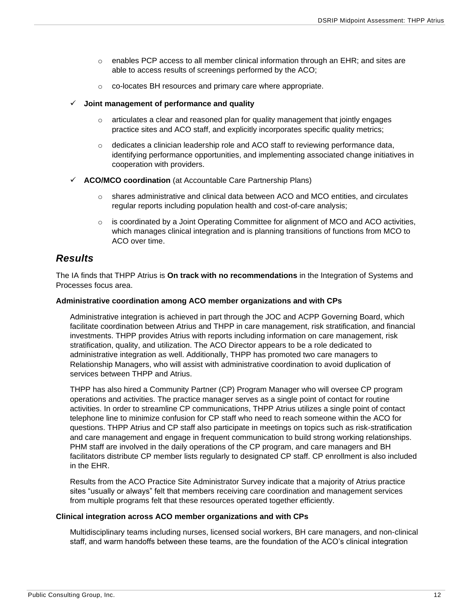- $\circ$  enables PCP access to all member clinical information through an EHR; and sites are able to access results of screenings performed by the ACO;
- o co-locates BH resources and primary care where appropriate.

#### ✓ **Joint management of performance and quality**

- $\circ$  articulates a clear and reasoned plan for quality management that jointly engages practice sites and ACO staff, and explicitly incorporates specific quality metrics;
- $\circ$  dedicates a clinician leadership role and ACO staff to reviewing performance data, identifying performance opportunities, and implementing associated change initiatives in cooperation with providers.
- ✓ **ACO/MCO coordination** (at Accountable Care Partnership Plans)
	- $\circ$  shares administrative and clinical data between ACO and MCO entities, and circulates regular reports including population health and cost-of-care analysis;
	- $\circ$  is coordinated by a Joint Operating Committee for alignment of MCO and ACO activities, which manages clinical integration and is planning transitions of functions from MCO to ACO over time.

## <span id="page-12-0"></span>*Results*

The IA finds that THPP Atrius is **On track with no recommendations** in the Integration of Systems and Processes focus area.

#### **Administrative coordination among ACO member organizations and with CPs**

Administrative integration is achieved in part through the JOC and ACPP Governing Board, which facilitate coordination between Atrius and THPP in care management, risk stratification, and financial investments. THPP provides Atrius with reports including information on care management, risk stratification, quality, and utilization. The ACO Director appears to be a role dedicated to administrative integration as well. Additionally, THPP has promoted two care managers to Relationship Managers, who will assist with administrative coordination to avoid duplication of services between THPP and Atrius.

THPP has also hired a Community Partner (CP) Program Manager who will oversee CP program operations and activities. The practice manager serves as a single point of contact for routine activities. In order to streamline CP communications, THPP Atrius utilizes a single point of contact telephone line to minimize confusion for CP staff who need to reach someone within the ACO for questions. THPP Atrius and CP staff also participate in meetings on topics such as risk-stratification and care management and engage in frequent communication to build strong working relationships. PHM staff are involved in the daily operations of the CP program, and care managers and BH facilitators distribute CP member lists regularly to designated CP staff. CP enrollment is also included in the EHR.

Results from the ACO Practice Site Administrator Survey indicate that a majority of Atrius practice sites "usually or always" felt that members receiving care coordination and management services from multiple programs felt that these resources operated together efficiently.

#### **Clinical integration across ACO member organizations and with CPs**

Multidisciplinary teams including nurses, licensed social workers, BH care managers, and non-clinical staff, and warm handoffs between these teams, are the foundation of the ACO's clinical integration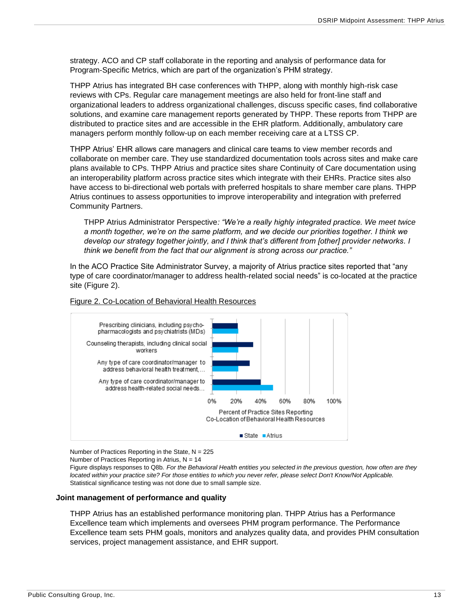strategy. ACO and CP staff collaborate in the reporting and analysis of performance data for Program-Specific Metrics, which are part of the organization's PHM strategy.

THPP Atrius has integrated BH case conferences with THPP, along with monthly high-risk case reviews with CPs. Regular care management meetings are also held for front-line staff and organizational leaders to address organizational challenges, discuss specific cases, find collaborative solutions, and examine care management reports generated by THPP. These reports from THPP are distributed to practice sites and are accessible in the EHR platform. Additionally, ambulatory care managers perform monthly follow-up on each member receiving care at a LTSS CP.

THPP Atrius' EHR allows care managers and clinical care teams to view member records and collaborate on member care. They use standardized documentation tools across sites and make care plans available to CPs. THPP Atrius and practice sites share Continuity of Care documentation using an interoperability platform across practice sites which integrate with their EHRs. Practice sites also have access to bi-directional web portals with preferred hospitals to share member care plans. THPP Atrius continues to assess opportunities to improve interoperability and integration with preferred Community Partners.

THPP Atrius Administrator Perspective*: "We're a really highly integrated practice. We meet twice a month together, we're on the same platform, and we decide our priorities together. I think we develop our strategy together jointly, and I think that's different from [other] provider networks. I think we benefit from the fact that our alignment is strong across our practice."* 

In the ACO Practice Site Administrator Survey, a majority of Atrius practice sites reported that "any type of care coordinator/manager to address health-related social needs" is co-located at the practice site (Figure 2).



#### Figure 2. Co-Location of Behavioral Health Resources

Number of Practices Reporting in the State,  $N = 225$ 

Number of Practices Reporting in Atrius,  $N = 14$ 

Figure displays responses to Q8b. *For the Behavioral Health entities you selected in the previous question, how often are they located within your practice site? For those entities to which you never refer, please select Don't Know/Not Applicable.* Statistical significance testing was not done due to small sample size.

#### **Joint management of performance and quality**

THPP Atrius has an established performance monitoring plan. THPP Atrius has a Performance Excellence team which implements and oversees PHM program performance. The Performance Excellence team sets PHM goals, monitors and analyzes quality data, and provides PHM consultation services, project management assistance, and EHR support.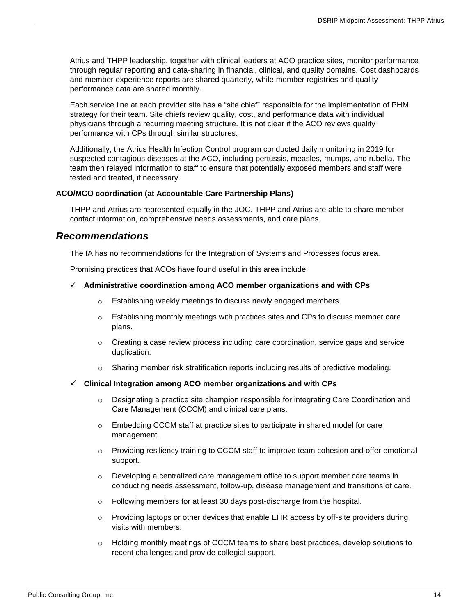Atrius and THPP leadership, together with clinical leaders at ACO practice sites, monitor performance through regular reporting and data-sharing in financial, clinical, and quality domains. Cost dashboards and member experience reports are shared quarterly, while member registries and quality performance data are shared monthly.

Each service line at each provider site has a "site chief" responsible for the implementation of PHM strategy for their team. Site chiefs review quality, cost, and performance data with individual physicians through a recurring meeting structure. It is not clear if the ACO reviews quality performance with CPs through similar structures.

Additionally, the Atrius Health Infection Control program conducted daily monitoring in 2019 for suspected contagious diseases at the ACO, including pertussis, measles, mumps, and rubella. The team then relayed information to staff to ensure that potentially exposed members and staff were tested and treated, if necessary.

#### **ACO/MCO coordination (at Accountable Care Partnership Plans)**

THPP and Atrius are represented equally in the JOC. THPP and Atrius are able to share member contact information, comprehensive needs assessments, and care plans.

### <span id="page-14-0"></span>*Recommendations*

The IA has no recommendations for the Integration of Systems and Processes focus area.

Promising practices that ACOs have found useful in this area include:

#### ✓ **Administrative coordination among ACO member organizations and with CPs**

- o Establishing weekly meetings to discuss newly engaged members.
- $\circ$  Establishing monthly meetings with practices sites and CPs to discuss member care plans.
- $\circ$  Creating a case review process including care coordination, service gaps and service duplication.
- o Sharing member risk stratification reports including results of predictive modeling.
- ✓ **Clinical Integration among ACO member organizations and with CPs**
	- $\circ$  Designating a practice site champion responsible for integrating Care Coordination and Care Management (CCCM) and clinical care plans.
	- o Embedding CCCM staff at practice sites to participate in shared model for care management.
	- $\circ$  Providing resiliency training to CCCM staff to improve team cohesion and offer emotional support.
	- $\circ$  Developing a centralized care management office to support member care teams in conducting needs assessment, follow-up, disease management and transitions of care.
	- $\circ$  Following members for at least 30 days post-discharge from the hospital.
	- $\circ$  Providing laptops or other devices that enable EHR access by off-site providers during visits with members.
	- $\circ$  Holding monthly meetings of CCCM teams to share best practices, develop solutions to recent challenges and provide collegial support.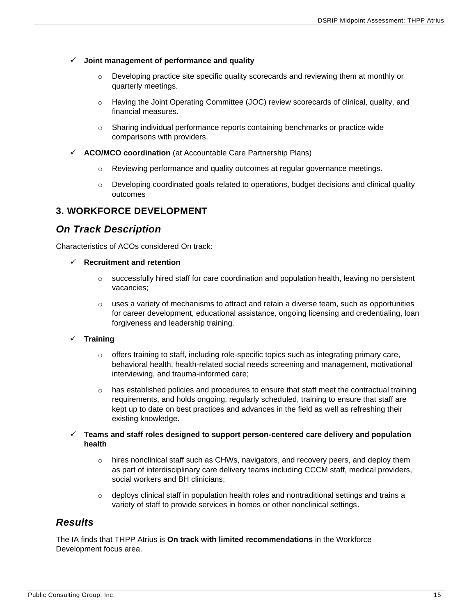#### ✓ **Joint management of performance and quality**

- o Developing practice site specific quality scorecards and reviewing them at monthly or quarterly meetings.
- o Having the Joint Operating Committee (JOC) review scorecards of clinical, quality, and financial measures.
- $\circ$  Sharing individual performance reports containing benchmarks or practice wide comparisons with providers.
- ✓ **ACO/MCO coordination** (at Accountable Care Partnership Plans)
	- $\circ$  Reviewing performance and quality outcomes at regular governance meetings.
	- $\circ$  Developing coordinated goals related to operations, budget decisions and clinical quality outcomes

### <span id="page-15-0"></span>**3. WORKFORCE DEVELOPMENT**

## <span id="page-15-1"></span>*On Track Description*

Characteristics of ACOs considered On track:

- ✓ **Recruitment and retention**
	- $\circ$  successfully hired staff for care coordination and population health, leaving no persistent vacancies;
	- $\circ$  uses a variety of mechanisms to attract and retain a diverse team, such as opportunities for career development, educational assistance, ongoing licensing and credentialing, loan forgiveness and leadership training.

#### ✓ **Training**

- $\circ$  offers training to staff, including role-specific topics such as integrating primary care, behavioral health, health-related social needs screening and management, motivational interviewing, and trauma-informed care;
- $\circ$  has established policies and procedures to ensure that staff meet the contractual training requirements, and holds ongoing, regularly scheduled, training to ensure that staff are kept up to date on best practices and advances in the field as well as refreshing their existing knowledge.
- ✓ **Teams and staff roles designed to support person-centered care delivery and population health**
	- $\circ$  hires nonclinical staff such as CHWs, navigators, and recovery peers, and deploy them as part of interdisciplinary care delivery teams including CCCM staff, medical providers, social workers and BH clinicians;
	- $\circ$  deploys clinical staff in population health roles and nontraditional settings and trains a variety of staff to provide services in homes or other nonclinical settings.

## <span id="page-15-2"></span>*Results*

The IA finds that THPP Atrius is **On track with limited recommendations** in the Workforce Development focus area.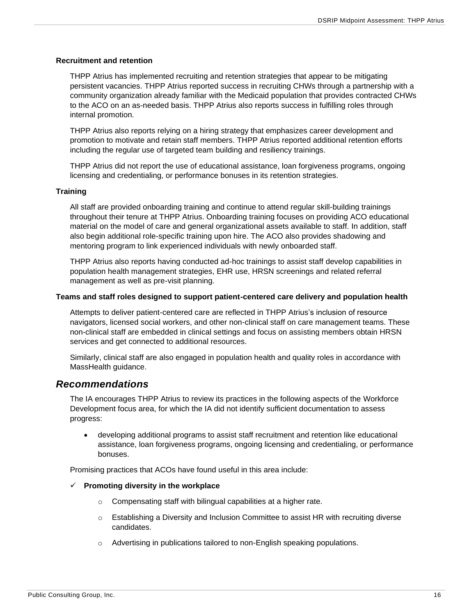#### **Recruitment and retention**

THPP Atrius has implemented recruiting and retention strategies that appear to be mitigating persistent vacancies. THPP Atrius reported success in recruiting CHWs through a partnership with a community organization already familiar with the Medicaid population that provides contracted CHWs to the ACO on an as-needed basis. THPP Atrius also reports success in fulfilling roles through internal promotion.

THPP Atrius also reports relying on a hiring strategy that emphasizes career development and promotion to motivate and retain staff members. THPP Atrius reported additional retention efforts including the regular use of targeted team building and resiliency trainings.

THPP Atrius did not report the use of educational assistance, loan forgiveness programs, ongoing licensing and credentialing, or performance bonuses in its retention strategies.

#### **Training**

All staff are provided onboarding training and continue to attend regular skill-building trainings throughout their tenure at THPP Atrius. Onboarding training focuses on providing ACO educational material on the model of care and general organizational assets available to staff. In addition, staff also begin additional role-specific training upon hire. The ACO also provides shadowing and mentoring program to link experienced individuals with newly onboarded staff.

THPP Atrius also reports having conducted ad-hoc trainings to assist staff develop capabilities in population health management strategies, EHR use, HRSN screenings and related referral management as well as pre-visit planning.

#### **Teams and staff roles designed to support patient-centered care delivery and population health**

Attempts to deliver patient-centered care are reflected in THPP Atrius's inclusion of resource navigators, licensed social workers, and other non-clinical staff on care management teams. These non-clinical staff are embedded in clinical settings and focus on assisting members obtain HRSN services and get connected to additional resources.

Similarly, clinical staff are also engaged in population health and quality roles in accordance with MassHealth guidance.

#### <span id="page-16-0"></span>*Recommendations*

The IA encourages THPP Atrius to review its practices in the following aspects of the Workforce Development focus area, for which the IA did not identify sufficient documentation to assess progress:

• developing additional programs to assist staff recruitment and retention like educational assistance, loan forgiveness programs, ongoing licensing and credentialing, or performance bonuses.

Promising practices that ACOs have found useful in this area include:

#### ✓ **Promoting diversity in the workplace**

- o Compensating staff with bilingual capabilities at a higher rate.
- $\circ$  Establishing a Diversity and Inclusion Committee to assist HR with recruiting diverse candidates.
- $\circ$  Advertising in publications tailored to non-English speaking populations.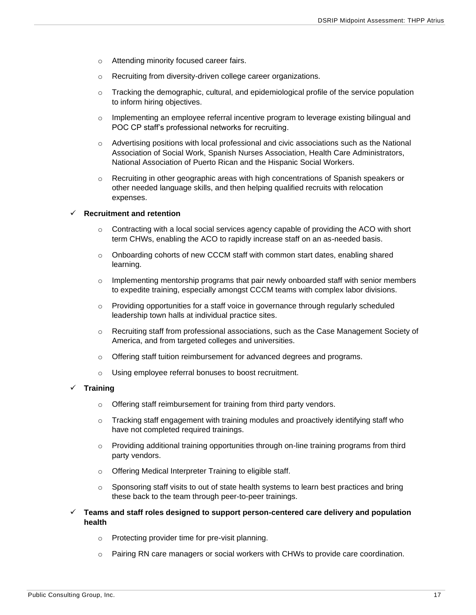- o Attending minority focused career fairs.
- o Recruiting from diversity-driven college career organizations.
- $\circ$  Tracking the demographic, cultural, and epidemiological profile of the service population to inform hiring objectives.
- o Implementing an employee referral incentive program to leverage existing bilingual and POC CP staff's professional networks for recruiting.
- $\circ$  Advertising positions with local professional and civic associations such as the National Association of Social Work, Spanish Nurses Association, Health Care Administrators, National Association of Puerto Rican and the Hispanic Social Workers.
- $\circ$  Recruiting in other geographic areas with high concentrations of Spanish speakers or other needed language skills, and then helping qualified recruits with relocation expenses.

#### ✓ **Recruitment and retention**

- $\circ$  Contracting with a local social services agency capable of providing the ACO with short term CHWs, enabling the ACO to rapidly increase staff on an as-needed basis.
- $\circ$  Onboarding cohorts of new CCCM staff with common start dates, enabling shared learning.
- $\circ$  Implementing mentorship programs that pair newly onboarded staff with senior members to expedite training, especially amongst CCCM teams with complex labor divisions.
- $\circ$  Providing opportunities for a staff voice in governance through regularly scheduled leadership town halls at individual practice sites.
- $\circ$  Recruiting staff from professional associations, such as the Case Management Society of America, and from targeted colleges and universities.
- $\circ$  Offering staff tuition reimbursement for advanced degrees and programs.
- o Using employee referral bonuses to boost recruitment.

#### ✓ **Training**

- o Offering staff reimbursement for training from third party vendors.
- $\circ$  Tracking staff engagement with training modules and proactively identifying staff who have not completed required trainings.
- $\circ$  Providing additional training opportunities through on-line training programs from third party vendors.
- o Offering Medical Interpreter Training to eligible staff.
- o Sponsoring staff visits to out of state health systems to learn best practices and bring these back to the team through peer-to-peer trainings.
- ✓ **Teams and staff roles designed to support person-centered care delivery and population health**
	- o Protecting provider time for pre-visit planning.
	- o Pairing RN care managers or social workers with CHWs to provide care coordination.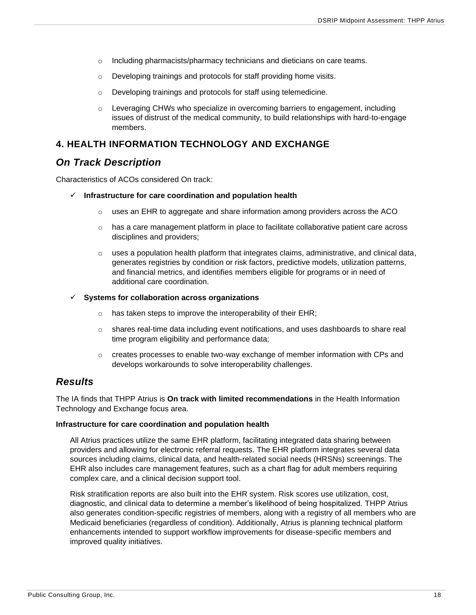- o Including pharmacists/pharmacy technicians and dieticians on care teams.
- o Developing trainings and protocols for staff providing home visits.
- o Developing trainings and protocols for staff using telemedicine.
- $\circ$  Leveraging CHWs who specialize in overcoming barriers to engagement, including issues of distrust of the medical community, to build relationships with hard-to-engage members.

## <span id="page-18-0"></span>**4. HEALTH INFORMATION TECHNOLOGY AND EXCHANGE**

## <span id="page-18-1"></span>*On Track Description*

Characteristics of ACOs considered On track:

#### ✓ **Infrastructure for care coordination and population health**

- $\circ$  uses an EHR to aggregate and share information among providers across the ACO
- $\circ$  has a care management platform in place to facilitate collaborative patient care across disciplines and providers;
- $\circ$  uses a population health platform that integrates claims, administrative, and clinical data, generates registries by condition or risk factors, predictive models, utilization patterns, and financial metrics, and identifies members eligible for programs or in need of additional care coordination.

#### ✓ **Systems for collaboration across organizations**

- $\circ$  has taken steps to improve the interoperability of their EHR;
- o shares real-time data including event notifications, and uses dashboards to share real time program eligibility and performance data;
- $\circ$  creates processes to enable two-way exchange of member information with CPs and develops workarounds to solve interoperability challenges.

## <span id="page-18-2"></span>*Results*

The IA finds that THPP Atrius is **On track with limited recommendations** in the Health Information Technology and Exchange focus area.

#### **Infrastructure for care coordination and population health**

All Atrius practices utilize the same EHR platform, facilitating integrated data sharing between providers and allowing for electronic referral requests. The EHR platform integrates several data sources including claims, clinical data, and health-related social needs (HRSNs) screenings. The EHR also includes care management features, such as a chart flag for adult members requiring complex care, and a clinical decision support tool.

Risk stratification reports are also built into the EHR system. Risk scores use utilization, cost, diagnostic, and clinical data to determine a member's likelihood of being hospitalized. THPP Atrius also generates condition-specific registries of members, along with a registry of all members who are Medicaid beneficiaries (regardless of condition). Additionally, Atrius is planning technical platform enhancements intended to support workflow improvements for disease-specific members and improved quality initiatives.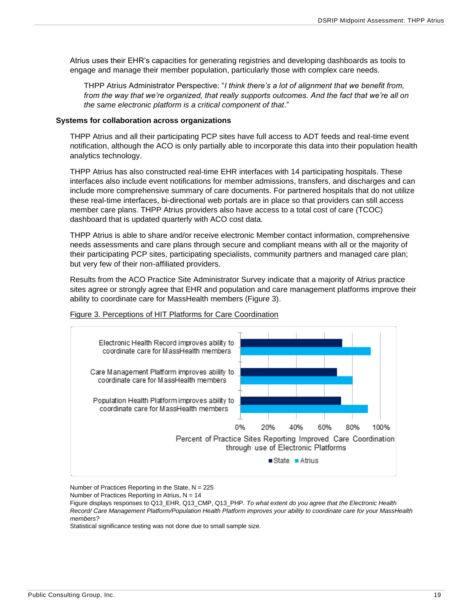Atrius uses their EHR's capacities for generating registries and developing dashboards as tools to engage and manage their member population, particularly those with complex care needs.

THPP Atrius Administrator Perspective: "*I think there's a lot of alignment that we benefit from, from the way that we're organized, that really supports outcomes. And the fact that we're all on the same electronic platform is a critical component of that*."

#### **Systems for collaboration across organizations**

THPP Atrius and all their participating PCP sites have full access to ADT feeds and real-time event notification, although the ACO is only partially able to incorporate this data into their population health analytics technology.

THPP Atrius has also constructed real-time EHR interfaces with 14 participating hospitals. These interfaces also include event notifications for member admissions, transfers, and discharges and can include more comprehensive summary of care documents. For partnered hospitals that do not utilize these real-time interfaces, bi-directional web portals are in place so that providers can still access member care plans. THPP Atrius providers also have access to a total cost of care (TCOC) dashboard that is updated quarterly with ACO cost data.

THPP Atrius is able to share and/or receive electronic Member contact information, comprehensive needs assessments and care plans through secure and compliant means with all or the majority of their participating PCP sites, participating specialists, community partners and managed care plan; but very few of their non-affiliated providers.

Results from the ACO Practice Site Administrator Survey indicate that a majority of Atrius practice sites agree or strongly agree that EHR and population and care management platforms improve their ability to coordinate care for MassHealth members (Figure 3).

#### Figure 3. Perceptions of HIT Platforms for Care Coordination



Number of Practices Reporting in the State,  $N = 225$ 

Number of Practices Reporting in Atrius,  $N = 14$ 

Figure displays responses to Q13\_EHR, Q13\_CMP, Q13\_PHP. *To what extent do you agree that the Electronic Health Record/ Care Management Platform/Population Health Platform improves your ability to coordinate care for your MassHealth members?*

Statistical significance testing was not done due to small sample size.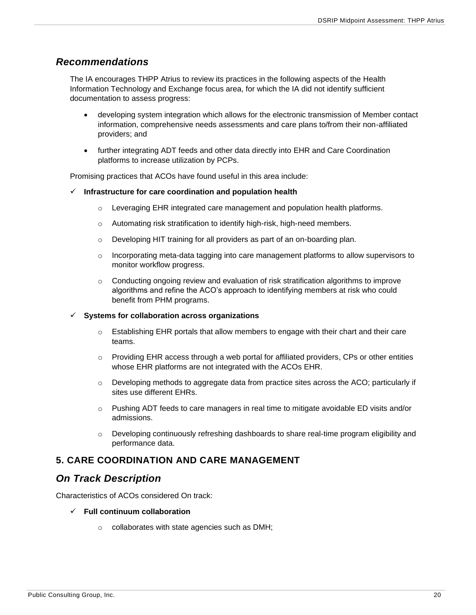## <span id="page-20-0"></span>*Recommendations*

The IA encourages THPP Atrius to review its practices in the following aspects of the Health Information Technology and Exchange focus area, for which the IA did not identify sufficient documentation to assess progress:

- developing system integration which allows for the electronic transmission of Member contact information, comprehensive needs assessments and care plans to/from their non-affiliated providers; and
- further integrating ADT feeds and other data directly into EHR and Care Coordination platforms to increase utilization by PCPs.

Promising practices that ACOs have found useful in this area include:

- ✓ **Infrastructure for care coordination and population health**
	- $\circ$  Leveraging EHR integrated care management and population health platforms.
	- o Automating risk stratification to identify high-risk, high-need members.
	- o Developing HIT training for all providers as part of an on-boarding plan.
	- o Incorporating meta-data tagging into care management platforms to allow supervisors to monitor workflow progress.
	- $\circ$  Conducting ongoing review and evaluation of risk stratification algorithms to improve algorithms and refine the ACO's approach to identifying members at risk who could benefit from PHM programs.

#### ✓ **Systems for collaboration across organizations**

- $\circ$  Establishing EHR portals that allow members to engage with their chart and their care teams.
- o Providing EHR access through a web portal for affiliated providers, CPs or other entities whose EHR platforms are not integrated with the ACOs EHR.
- $\circ$  Developing methods to aggregate data from practice sites across the ACO; particularly if sites use different EHRs.
- o Pushing ADT feeds to care managers in real time to mitigate avoidable ED visits and/or admissions.
- $\circ$  Developing continuously refreshing dashboards to share real-time program eligibility and performance data.

### <span id="page-20-1"></span>**5. CARE COORDINATION AND CARE MANAGEMENT**

## <span id="page-20-2"></span>*On Track Description*

Characteristics of ACOs considered On track:

#### ✓ **Full continuum collaboration**

o collaborates with state agencies such as DMH;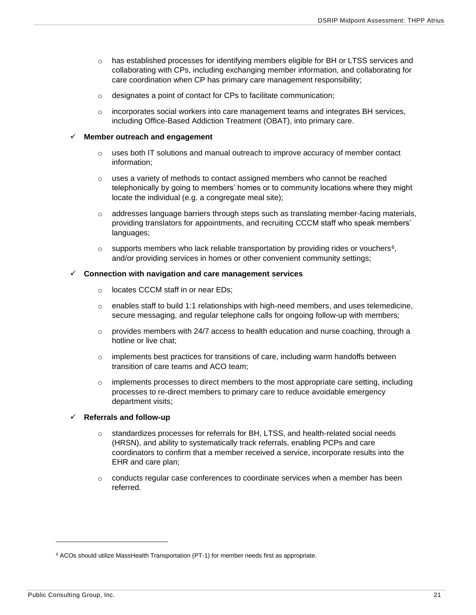- o has established processes for identifying members eligible for BH or LTSS services and collaborating with CPs, including exchanging member information, and collaborating for care coordination when CP has primary care management responsibility;
- o designates a point of contact for CPs to facilitate communication;
- $\circ$  incorporates social workers into care management teams and integrates BH services, including Office-Based Addiction Treatment (OBAT), into primary care.

#### ✓ **Member outreach and engagement**

- $\circ$  uses both IT solutions and manual outreach to improve accuracy of member contact information;
- $\circ$  uses a variety of methods to contact assigned members who cannot be reached telephonically by going to members' homes or to community locations where they might locate the individual (e.g. a congregate meal site);
- o addresses language barriers through steps such as translating member-facing materials, providing translators for appointments, and recruiting CCCM staff who speak members' languages;
- $\circ$  supports members who lack reliable transportation by providing rides or vouchers<sup>6</sup>, and/or providing services in homes or other convenient community settings;

#### ✓ **Connection with navigation and care management services**

- o locates CCCM staff in or near EDs;
- $\circ$  enables staff to build 1:1 relationships with high-need members, and uses telemedicine, secure messaging, and regular telephone calls for ongoing follow-up with members;
- $\circ$  provides members with 24/7 access to health education and nurse coaching, through a hotline or live chat;
- $\circ$  implements best practices for transitions of care, including warm handoffs between transition of care teams and ACO team;
- $\circ$  implements processes to direct members to the most appropriate care setting, including processes to re-direct members to primary care to reduce avoidable emergency department visits;

#### ✓ **Referrals and follow-up**

- $\circ$  standardizes processes for referrals for BH, LTSS, and health-related social needs (HRSN), and ability to systematically track referrals, enabling PCPs and care coordinators to confirm that a member received a service, incorporate results into the EHR and care plan;
- $\circ$  conducts regular case conferences to coordinate services when a member has been referred.

<sup>&</sup>lt;sup>6</sup> ACOs should utilize MassHealth Transportation (PT-1) for member needs first as appropriate.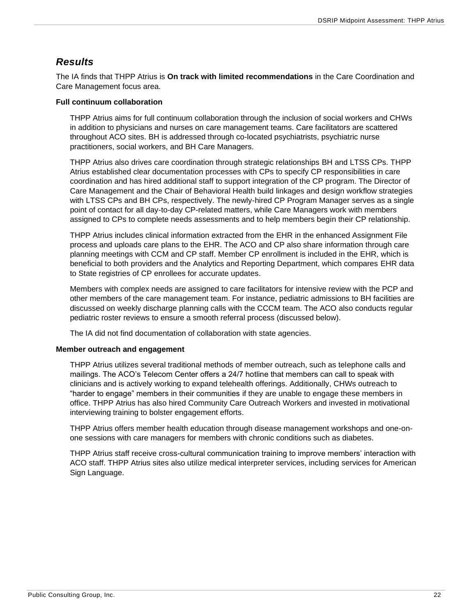## <span id="page-22-0"></span>*Results*

The IA finds that THPP Atrius is **On track with limited recommendations** in the Care Coordination and Care Management focus area.

#### **Full continuum collaboration**

THPP Atrius aims for full continuum collaboration through the inclusion of social workers and CHWs in addition to physicians and nurses on care management teams. Care facilitators are scattered throughout ACO sites. BH is addressed through co-located psychiatrists, psychiatric nurse practitioners, social workers, and BH Care Managers.

THPP Atrius also drives care coordination through strategic relationships BH and LTSS CPs. THPP Atrius established clear documentation processes with CPs to specify CP responsibilities in care coordination and has hired additional staff to support integration of the CP program. The Director of Care Management and the Chair of Behavioral Health build linkages and design workflow strategies with LTSS CPs and BH CPs, respectively. The newly-hired CP Program Manager serves as a single point of contact for all day-to-day CP-related matters, while Care Managers work with members assigned to CPs to complete needs assessments and to help members begin their CP relationship.

THPP Atrius includes clinical information extracted from the EHR in the enhanced Assignment File process and uploads care plans to the EHR. The ACO and CP also share information through care planning meetings with CCM and CP staff. Member CP enrollment is included in the EHR, which is beneficial to both providers and the Analytics and Reporting Department, which compares EHR data to State registries of CP enrollees for accurate updates.

Members with complex needs are assigned to care facilitators for intensive review with the PCP and other members of the care management team. For instance, pediatric admissions to BH facilities are discussed on weekly discharge planning calls with the CCCM team. The ACO also conducts regular pediatric roster reviews to ensure a smooth referral process (discussed below).

The IA did not find documentation of collaboration with state agencies.

#### **Member outreach and engagement**

THPP Atrius utilizes several traditional methods of member outreach, such as telephone calls and mailings. The ACO's Telecom Center offers a 24/7 hotline that members can call to speak with clinicians and is actively working to expand telehealth offerings. Additionally, CHWs outreach to "harder to engage" members in their communities if they are unable to engage these members in office. THPP Atrius has also hired Community Care Outreach Workers and invested in motivational interviewing training to bolster engagement efforts.

THPP Atrius offers member health education through disease management workshops and one-onone sessions with care managers for members with chronic conditions such as diabetes.

THPP Atrius staff receive cross-cultural communication training to improve members' interaction with ACO staff. THPP Atrius sites also utilize medical interpreter services, including services for American Sign Language.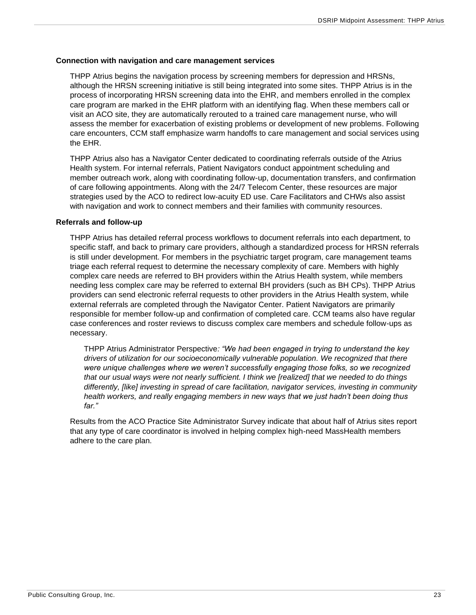#### **Connection with navigation and care management services**

THPP Atrius begins the navigation process by screening members for depression and HRSNs, although the HRSN screening initiative is still being integrated into some sites. THPP Atrius is in the process of incorporating HRSN screening data into the EHR, and members enrolled in the complex care program are marked in the EHR platform with an identifying flag. When these members call or visit an ACO site, they are automatically rerouted to a trained care management nurse, who will assess the member for exacerbation of existing problems or development of new problems. Following care encounters, CCM staff emphasize warm handoffs to care management and social services using the EHR.

THPP Atrius also has a Navigator Center dedicated to coordinating referrals outside of the Atrius Health system. For internal referrals, Patient Navigators conduct appointment scheduling and member outreach work, along with coordinating follow-up, documentation transfers, and confirmation of care following appointments. Along with the 24/7 Telecom Center, these resources are major strategies used by the ACO to redirect low-acuity ED use. Care Facilitators and CHWs also assist with navigation and work to connect members and their families with community resources.

#### **Referrals and follow-up**

THPP Atrius has detailed referral process workflows to document referrals into each department, to specific staff, and back to primary care providers, although a standardized process for HRSN referrals is still under development. For members in the psychiatric target program, care management teams triage each referral request to determine the necessary complexity of care. Members with highly complex care needs are referred to BH providers within the Atrius Health system, while members needing less complex care may be referred to external BH providers (such as BH CPs). THPP Atrius providers can send electronic referral requests to other providers in the Atrius Health system, while external referrals are completed through the Navigator Center. Patient Navigators are primarily responsible for member follow-up and confirmation of completed care. CCM teams also have regular case conferences and roster reviews to discuss complex care members and schedule follow-ups as necessary.

THPP Atrius Administrator Perspective*: "We had been engaged in trying to understand the key drivers of utilization for our socioeconomically vulnerable population. We recognized that there were unique challenges where we weren't successfully engaging those folks, so we recognized that our usual ways were not nearly sufficient. I think we [realized] that we needed to do things differently, [like] investing in spread of care facilitation, navigator services, investing in community health workers, and really engaging members in new ways that we just hadn't been doing thus far."*

Results from the ACO Practice Site Administrator Survey indicate that about half of Atrius sites report that any type of care coordinator is involved in helping complex high-need MassHealth members adhere to the care plan.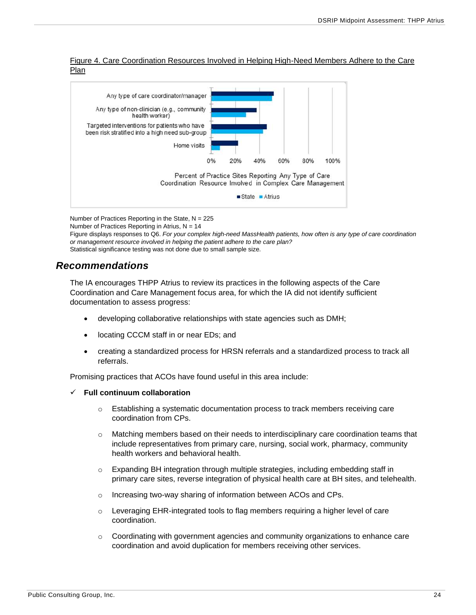Figure 4. Care Coordination Resources Involved in Helping High-Need Members Adhere to the Care Plan



Number of Practices Reporting in the State,  $N = 225$ Number of Practices Reporting in Atrius,  $N = 14$ 

Figure displays responses to Q6. *For your complex high-need MassHealth patients, how often is any type of care coordination or management resource involved in helping the patient adhere to the care plan?* Statistical significance testing was not done due to small sample size.

## <span id="page-24-0"></span>*Recommendations*

The IA encourages THPP Atrius to review its practices in the following aspects of the Care Coordination and Care Management focus area, for which the IA did not identify sufficient documentation to assess progress:

- developing collaborative relationships with state agencies such as DMH;
- locating CCCM staff in or near EDs; and
- creating a standardized process for HRSN referrals and a standardized process to track all referrals.

Promising practices that ACOs have found useful in this area include:

#### ✓ **Full continuum collaboration**

- o Establishing a systematic documentation process to track members receiving care coordination from CPs.
- $\circ$  Matching members based on their needs to interdisciplinary care coordination teams that include representatives from primary care, nursing, social work, pharmacy, community health workers and behavioral health.
- $\circ$  Expanding BH integration through multiple strategies, including embedding staff in primary care sites, reverse integration of physical health care at BH sites, and telehealth.
- o Increasing two-way sharing of information between ACOs and CPs.
- $\circ$  Leveraging EHR-integrated tools to flag members requiring a higher level of care coordination.
- $\circ$  Coordinating with government agencies and community organizations to enhance care coordination and avoid duplication for members receiving other services.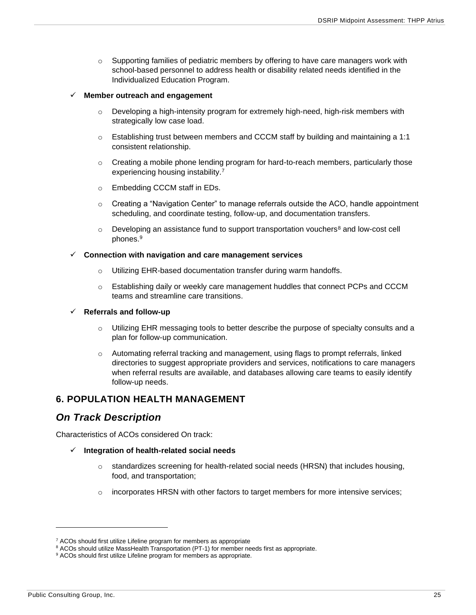$\circ$  Supporting families of pediatric members by offering to have care managers work with school-based personnel to address health or disability related needs identified in the Individualized Education Program.

#### ✓ **Member outreach and engagement**

- o Developing a high-intensity program for extremely high-need, high-risk members with strategically low case load.
- $\circ$  Establishing trust between members and CCCM staff by building and maintaining a 1:1 consistent relationship.
- $\circ$  Creating a mobile phone lending program for hard-to-reach members, particularly those experiencing housing instability.<sup>7</sup>
- o Embedding CCCM staff in EDs.
- o Creating a "Navigation Center" to manage referrals outside the ACO, handle appointment scheduling, and coordinate testing, follow-up, and documentation transfers.
- $\circ$  Developing an assistance fund to support transportation vouchers<sup>8</sup> and low-cost cell phones.<sup>9</sup>

#### ✓ **Connection with navigation and care management services**

- o Utilizing EHR-based documentation transfer during warm handoffs.
- o Establishing daily or weekly care management huddles that connect PCPs and CCCM teams and streamline care transitions.

#### ✓ **Referrals and follow-up**

- $\circ$  Utilizing EHR messaging tools to better describe the purpose of specialty consults and a plan for follow-up communication.
- o Automating referral tracking and management, using flags to prompt referrals, linked directories to suggest appropriate providers and services, notifications to care managers when referral results are available, and databases allowing care teams to easily identify follow-up needs.

### <span id="page-25-0"></span>**6. POPULATION HEALTH MANAGEMENT**

## <span id="page-25-1"></span>*On Track Description*

Characteristics of ACOs considered On track:

- ✓ **Integration of health-related social needs**
	- $\circ$  standardizes screening for health-related social needs (HRSN) that includes housing, food, and transportation;
	- $\circ$  incorporates HRSN with other factors to target members for more intensive services;

 $7$  ACOs should first utilize Lifeline program for members as appropriate

<sup>&</sup>lt;sup>8</sup> ACOs should utilize MassHealth Transportation (PT-1) for member needs first as appropriate.

<sup>&</sup>lt;sup>9</sup> ACOs should first utilize Lifeline program for members as appropriate.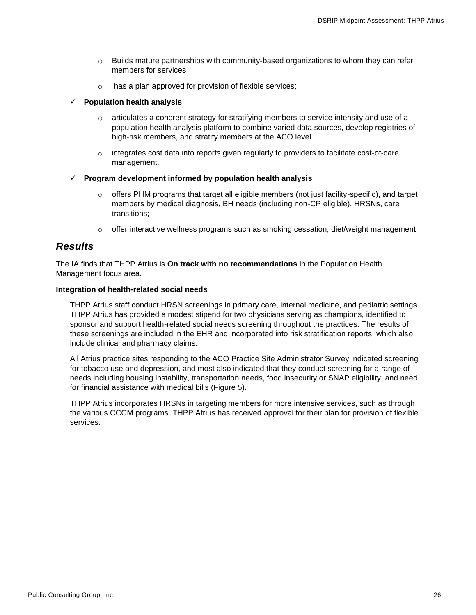- $\circ$  Builds mature partnerships with community-based organizations to whom they can refer members for services
- o has a plan approved for provision of flexible services;

#### ✓ **Population health analysis**

- $\circ$  articulates a coherent strategy for stratifying members to service intensity and use of a population health analysis platform to combine varied data sources, develop registries of high-risk members, and stratify members at the ACO level.
- o integrates cost data into reports given regularly to providers to facilitate cost-of-care management.

#### ✓ **Program development informed by population health analysis**

- o offers PHM programs that target all eligible members (not just facility-specific), and target members by medical diagnosis, BH needs (including non-CP eligible), HRSNs, care transitions;
- $\circ$  offer interactive wellness programs such as smoking cessation, diet/weight management.

## <span id="page-26-0"></span>*Results*

The IA finds that THPP Atrius is **On track with no recommendations** in the Population Health Management focus area.

#### **Integration of health-related social needs**

THPP Atrius staff conduct HRSN screenings in primary care, internal medicine, and pediatric settings. THPP Atrius has provided a modest stipend for two physicians serving as champions, identified to sponsor and support health-related social needs screening throughout the practices. The results of these screenings are included in the EHR and incorporated into risk stratification reports, which also include clinical and pharmacy claims.

All Atrius practice sites responding to the ACO Practice Site Administrator Survey indicated screening for tobacco use and depression, and most also indicated that they conduct screening for a range of needs including housing instability, transportation needs, food insecurity or SNAP eligibility, and need for financial assistance with medical bills (Figure 5).

THPP Atrius incorporates HRSNs in targeting members for more intensive services, such as through the various CCCM programs. THPP Atrius has received approval for their plan for provision of flexible services.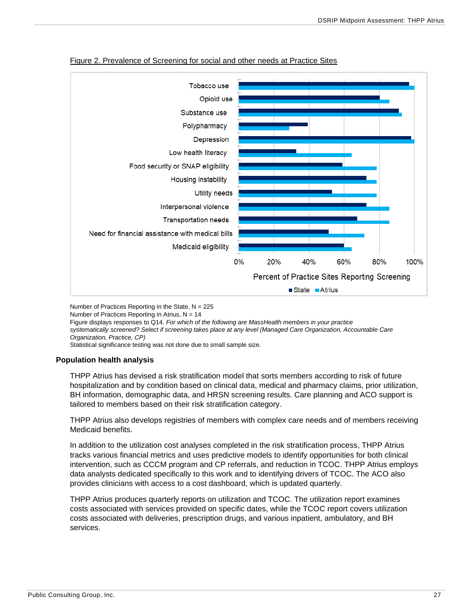

#### Figure 2. Prevalence of Screening for social and other needs at Practice Sites

Number of Practices Reporting in the State, N = 225 Number of Practices Reporting in Atrius,  $N = 14$ Figure displays responses to Q14. *For which of the following are MassHealth members in your practice systematically screened? Select if screening takes place at any level (Managed Care Organization, Accountable Care Organization, Practice, CP)* Statistical significance testing was not done due to small sample size.

#### **Population health analysis**

THPP Atrius has devised a risk stratification model that sorts members according to risk of future hospitalization and by condition based on clinical data, medical and pharmacy claims, prior utilization, BH information, demographic data, and HRSN screening results. Care planning and ACO support is tailored to members based on their risk stratification category.

THPP Atrius also develops registries of members with complex care needs and of members receiving Medicaid benefits.

In addition to the utilization cost analyses completed in the risk stratification process, THPP Atrius tracks various financial metrics and uses predictive models to identify opportunities for both clinical intervention, such as CCCM program and CP referrals, and reduction in TCOC. THPP Atrius employs data analysts dedicated specifically to this work and to identifying drivers of TCOC. The ACO also provides clinicians with access to a cost dashboard, which is updated quarterly.

THPP Atrius produces quarterly reports on utilization and TCOC. The utilization report examines costs associated with services provided on specific dates, while the TCOC report covers utilization costs associated with deliveries, prescription drugs, and various inpatient, ambulatory, and BH services.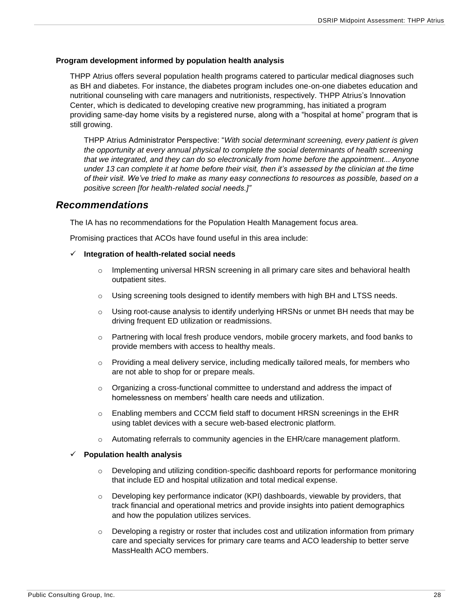#### **Program development informed by population health analysis**

THPP Atrius offers several population health programs catered to particular medical diagnoses such as BH and diabetes. For instance, the diabetes program includes one-on-one diabetes education and nutritional counseling with care managers and nutritionists, respectively. THPP Atrius's Innovation Center, which is dedicated to developing creative new programming, has initiated a program providing same-day home visits by a registered nurse, along with a "hospital at home" program that is still growing.

THPP Atrius Administrator Perspective: "*With social determinant screening, every patient is given the opportunity at every annual physical to complete the social determinants of health screening that we integrated, and they can do so electronically from home before the appointment... Anyone under 13 can complete it at home before their visit, then it's assessed by the clinician at the time of their visit. We've tried to make as many easy connections to resources as possible, based on a positive screen [for health-related social needs.]"*

### <span id="page-28-0"></span>*Recommendations*

The IA has no recommendations for the Population Health Management focus area.

Promising practices that ACOs have found useful in this area include:

- ✓ **Integration of health-related social needs**
	- $\circ$  Implementing universal HRSN screening in all primary care sites and behavioral health outpatient sites.
	- $\circ$  Using screening tools designed to identify members with high BH and LTSS needs.
	- $\circ$  Using root-cause analysis to identify underlying HRSNs or unmet BH needs that may be driving frequent ED utilization or readmissions.
	- o Partnering with local fresh produce vendors, mobile grocery markets, and food banks to provide members with access to healthy meals.
	- $\circ$  Providing a meal delivery service, including medically tailored meals, for members who are not able to shop for or prepare meals.
	- $\circ$  Organizing a cross-functional committee to understand and address the impact of homelessness on members' health care needs and utilization.
	- $\circ$  Enabling members and CCCM field staff to document HRSN screenings in the EHR using tablet devices with a secure web-based electronic platform.
	- $\circ$  Automating referrals to community agencies in the EHR/care management platform.

#### ✓ **Population health analysis**

- o Developing and utilizing condition-specific dashboard reports for performance monitoring that include ED and hospital utilization and total medical expense.
- $\circ$  Developing key performance indicator (KPI) dashboards, viewable by providers, that track financial and operational metrics and provide insights into patient demographics and how the population utilizes services.
- $\circ$  Developing a registry or roster that includes cost and utilization information from primary care and specialty services for primary care teams and ACO leadership to better serve MassHealth ACO members.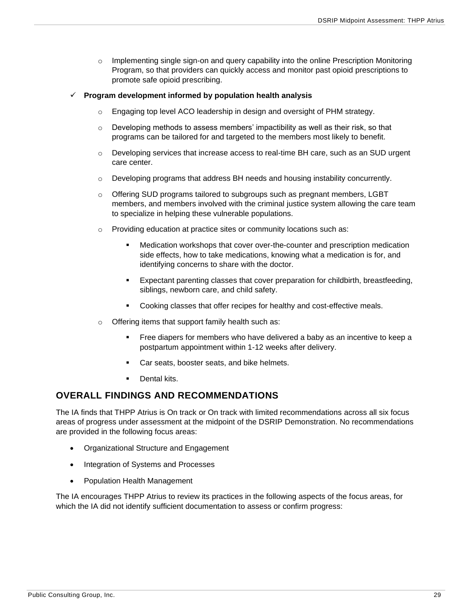o Implementing single sign-on and query capability into the online Prescription Monitoring Program, so that providers can quickly access and monitor past opioid prescriptions to promote safe opioid prescribing.

#### ✓ **Program development informed by population health analysis**

- o Engaging top level ACO leadership in design and oversight of PHM strategy.
- $\circ$  Developing methods to assess members' impactibility as well as their risk, so that programs can be tailored for and targeted to the members most likely to benefit.
- o Developing services that increase access to real-time BH care, such as an SUD urgent care center.
- o Developing programs that address BH needs and housing instability concurrently.
- $\circ$  Offering SUD programs tailored to subgroups such as pregnant members, LGBT members, and members involved with the criminal justice system allowing the care team to specialize in helping these vulnerable populations.
- $\circ$  Providing education at practice sites or community locations such as:
	- Medication workshops that cover over-the-counter and prescription medication side effects, how to take medications, knowing what a medication is for, and identifying concerns to share with the doctor.
	- Expectant parenting classes that cover preparation for childbirth, breastfeeding, siblings, newborn care, and child safety.
	- Cooking classes that offer recipes for healthy and cost-effective meals.
- o Offering items that support family health such as:
	- Free diapers for members who have delivered a baby as an incentive to keep a postpartum appointment within 1-12 weeks after delivery.
	- Car seats, booster seats, and bike helmets.
	- Dental kits.

### <span id="page-29-0"></span>**OVERALL FINDINGS AND RECOMMENDATIONS**

The IA finds that THPP Atrius is On track or On track with limited recommendations across all six focus areas of progress under assessment at the midpoint of the DSRIP Demonstration. No recommendations are provided in the following focus areas:

- Organizational Structure and Engagement
- Integration of Systems and Processes
- Population Health Management

The IA encourages THPP Atrius to review its practices in the following aspects of the focus areas, for which the IA did not identify sufficient documentation to assess or confirm progress: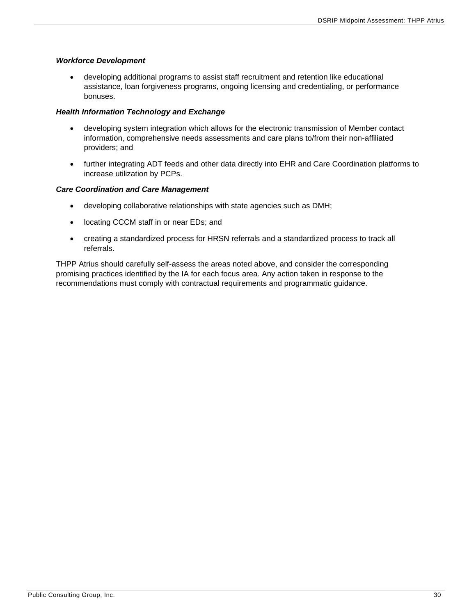#### *Workforce Development*

• developing additional programs to assist staff recruitment and retention like educational assistance, loan forgiveness programs, ongoing licensing and credentialing, or performance bonuses.

#### *Health Information Technology and Exchange*

- developing system integration which allows for the electronic transmission of Member contact information, comprehensive needs assessments and care plans to/from their non-affiliated providers; and
- further integrating ADT feeds and other data directly into EHR and Care Coordination platforms to increase utilization by PCPs.

#### *Care Coordination and Care Management*

- developing collaborative relationships with state agencies such as DMH;
- locating CCCM staff in or near EDs; and
- creating a standardized process for HRSN referrals and a standardized process to track all referrals.

THPP Atrius should carefully self-assess the areas noted above, and consider the corresponding promising practices identified by the IA for each focus area. Any action taken in response to the recommendations must comply with contractual requirements and programmatic guidance.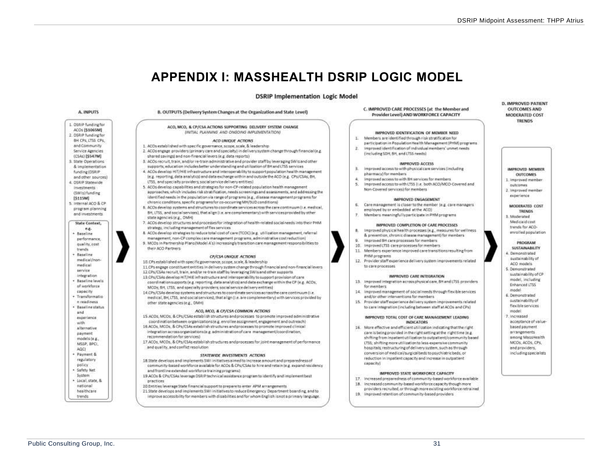## **APPENDIX I: MASSHEALTH DSRIP LOGIC MODEL**

#### **DSRIP Implementation Logic Model**

<span id="page-31-0"></span>

B. OUTPUTS (Delivery System Changes at the Organization and State Level) ACO, MCO, & CP/CSA ACTIONS SUPPORTING DELIVERY SYSTEM CHANGE INITIAL PLANNING AND ONGOING IMPLEMENTATIONS ¥. ACO UNIQUE ACTIONS 1. ACOs established with specific governance, scope, scale, & leadership W. 2. ACOs engage providers (primary care and specialty) in delivery system change through financial (e.g. shared savings) and non-financial levers (e.g. data reports) 8. ACDs recruit, train, and/or re-train administrative and provider staff by leveraging SWIs and other supports, education includes better understanding and utilization of BH and LTSS services ×. 4. ACOs develop HIT/HIE infrastructure and interpoerability to support population health management le.g. reporting, data analytics) and data exchange within and outside the ACO (e.g. CPs/CSAs; BH, LTSS, and specially providers; social service delivery entities). 5. ACOs develop capabilities and strategies for non-CP-related population health management approaches, which includes risk stratification, needs screenings and assessments, and addressing the identified needs in the copulation via range of programs (e.g., disease management programs for chronic conditions, specific programs for co-occurring MH/SUD conditions) 6. 6. ACOs develop systems and structures to coordinate services across the care continuum (i.e. medical, BH, LTSS, and social services), that align (i.e. are complementary) with services provided by other 7. ACOs develop structures and processes for integration of health-related social needs into their PHM strategy, including management of flex services. R. 8. ACOs develop strategies to reduce total cost of care (TCOC) (e.g. utilization management, referral management, non-CP complex care management programs, administrative cost reduction)  $\alpha$ 9. MCDs in Partnership Plans(Model A's) increasingly transition care management responsibilities to CP/CSA UNIQUE ACTIONS 10.CPs established with specific governance, scope, scale. & leadership 11.CPs engage constituent entities in delivery system change through financial and non-financial levers 12 CPs/CSAs recruit train, and/or re-train staff by leveraging SWIs and other supports 13 CPs/CSAs develop HIT/HIE infrastructure and interoperability to support provision of care coordination supports (e.g. reporting, data analytics) and data exchange within the CP (e.g. ACOs, MCDs; BH, LTSS, and specially providers; social service delivery entities) 34. 14 CPs/CSAs develop systems and structures to coordinate services across the care continuum (i.e. medical, BH, LTSS, and social services), that align (i.e. are complementary) with services provided by ACO, MCO, & CP/CSA COMMON ACTIONS 15.4COs, MCOs, & CPs/CSAs establish structures and processes to promote improved administrative coordination between organizations (e.g. enrollee assignment, engagement and outreach) 16.ACOs, MCOs, & CPs/CSAs establish structures and processes to promote improved clinical integration acrossorganizations (e.g. administration of care management/coordination, 17 ACOs, MCOs, & CPs/CSAs establish structures and processes for joint management of performance

#### STATEWIDE INVESTMENTS ACTIONS

- 18.State develops and implements SWI initiatives almed to increase amount and preparedness of community-based workforce available for ACOs & CPs/CSAs to hire and retain (e.g. expand residency and frontline extended workforce training programs)
- 19 ACOs & CPs/CSAs leverage OSR(P technical assistance program to identify and implement best
- 20 Entities leverage State financial support to prepare to enter APM arrangements
- 21 State develops and implements SWI initiatives to reduce Emergency Department boarding, and to improve accessibility for members with disabilities and for whom English isnot a primary language.

C. IMPROVED CARE PROCESSES (at the Member and Provider Level) AND WORKFORCE CAPACITY

#### IMPROVED IDENTIFICATION OF MEMBER NEED.

- Members are identified through risk stratification for
- participation in Population Health Management (PHM) programs Improved identification of individual members' unmet needs.
- (including SDH, BH, and LTSS needs)

#### **IMPROVED ACCESS**

- Improved access to with physical care services (including pharmacy) for members:
- Improved access to with BH services for members
- improved access to with LT55 ii.e. both ACO/MCO-Covered and Non-Covered services) for members

#### IMPROVED ENGAGEMENT

- Care management is closer to the member (e.g. care managers
- employed by ar embedded at the ACO)
- Members meaningfullyparticipate in PHM programs.

#### IMPROVED COMPLETION OF CARE PROCESSES

- Improved physical health processes (e.g., measures for wellness & erappention, chennic disagreementamenti for mambers.
- Improved SH care processes for members.
- 10. Improved LT35 care processes for members
- 11. Members experience improved care transitions resulting from PHM programs
- 12. Provider staff experience delivery system improvements related to care processes

#### IMPROVED CARE INTEGRATION

- 13. Improved integration across physical care, 6H and LTSS providers. for members.
- improved management of social needs through flexible services and/or other interventions for members
- 15. Provider staff experience delivery system improvements related to care integration (including between staff at ACOs and CPs)

#### IMPROVED TOTAL COST OF CARE MANAGEMENT LEADING **INDICATORS**

16. More effective and efficient utilization indicating that the right care is being provided in the right setting at the right time (e.g. shifting from inpatient utilization to outpatient/community based LTSS: shifting more utilization to less-expensive community hospitals; restructuring of delivery system, such as through conversion of medical/surgical beds to psychiatric beds, or reduction in inpatient capacity and increase in outpatient canacityl

#### IMPROVED STATE WORKFORCE CAPACITY

- 17. Increased preparedness of community-based workforce available 18. Increased community-based workforce capacity though more
- providers recruited, or through more existing workforce retrained
- 19. Improved retention of community-based providers

#### **D. IMPROVED PATIENT OUTCOMES AND MODERATED COST TRENDS**

1. Improved mambar nutcomes 2. Improved member experience MODERATED COST **TRENDS** R. Mosteraturi

IMPROVED MEMBER

**CIETYCOMPS** 

Medicaid cost trends for ACOenrolled population



4. Demonstrated sustainability of ACO models 5. Demonstrated sustainability of CP model, including Enhanced LTSS model 6. Demonstrated

- sustainability of
- flexible services model
- 7 Increased
- acceptance of value-
- based payment
- arrangements among MassHealth
- MCOs, ACOs, CPs.
- and providers. including specialists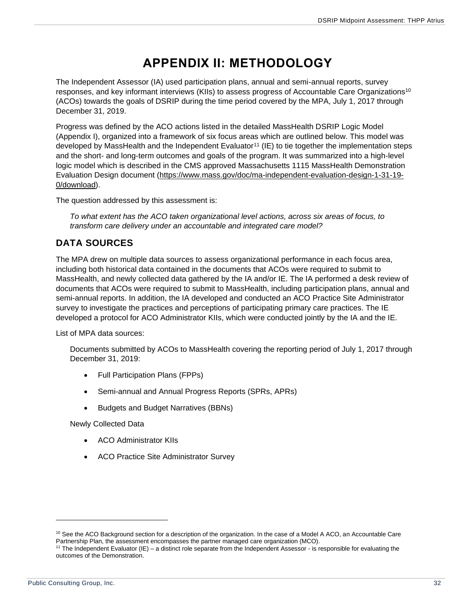## **APPENDIX II: METHODOLOGY**

<span id="page-32-0"></span>The Independent Assessor (IA) used participation plans, annual and semi-annual reports, survey responses, and key informant interviews (KIIs) to assess progress of Accountable Care Organizations<sup>10</sup> (ACOs) towards the goals of DSRIP during the time period covered by the MPA, July 1, 2017 through December 31, 2019.

Progress was defined by the ACO actions listed in the detailed MassHealth DSRIP Logic Model (Appendix I), organized into a framework of six focus areas which are outlined below. This model was developed by MassHealth and the Independent Evaluator<sup>11</sup> (IE) to tie together the implementation steps and the short- and long-term outcomes and goals of the program. It was summarized into a high-level logic model which is described in the CMS approved Massachusetts 1115 MassHealth Demonstration Evaluation Design document [\(https://www.mass.gov/doc/ma-independent-evaluation-design-1-31-19-](https://www.mass.gov/doc/ma-independent-evaluation-design-1-31-19-0/download) [0/download\)](https://www.mass.gov/doc/ma-independent-evaluation-design-1-31-19-0/download).

The question addressed by this assessment is:

*To what extent has the ACO taken organizational level actions, across six areas of focus, to transform care delivery under an accountable and integrated care model?*

## <span id="page-32-1"></span>**DATA SOURCES**

The MPA drew on multiple data sources to assess organizational performance in each focus area, including both historical data contained in the documents that ACOs were required to submit to MassHealth, and newly collected data gathered by the IA and/or IE. The IA performed a desk review of documents that ACOs were required to submit to MassHealth, including participation plans, annual and semi-annual reports. In addition, the IA developed and conducted an ACO Practice Site Administrator survey to investigate the practices and perceptions of participating primary care practices. The IE developed a protocol for ACO Administrator KIIs, which were conducted jointly by the IA and the IE.

List of MPA data sources:

Documents submitted by ACOs to MassHealth covering the reporting period of July 1, 2017 through December 31, 2019:

- Full Participation Plans (FPPs)
- Semi-annual and Annual Progress Reports (SPRs, APRs)
- Budgets and Budget Narratives (BBNs)

Newly Collected Data

- ACO Administrator KIIs
- ACO Practice Site Administrator Survey

<sup>&</sup>lt;sup>10</sup> See the ACO Background section for a description of the organization. In the case of a Model A ACO, an Accountable Care Partnership Plan, the assessment encompasses the partner managed care organization (MCO).

<sup>11</sup> The Independent Evaluator (IE) – a distinct role separate from the Independent Assessor - is responsible for evaluating the outcomes of the Demonstration.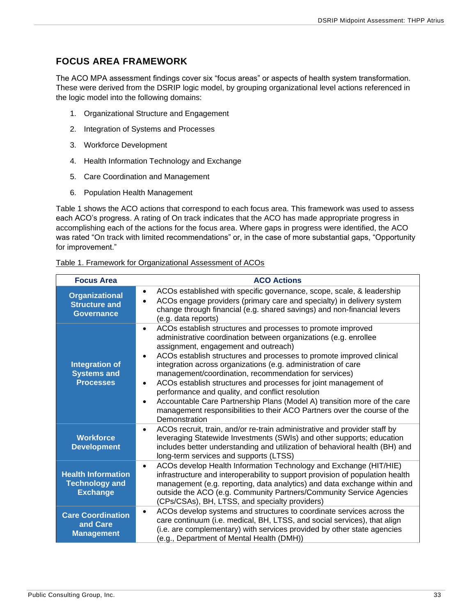## <span id="page-33-0"></span>**FOCUS AREA FRAMEWORK**

The ACO MPA assessment findings cover six "focus areas" or aspects of health system transformation. These were derived from the DSRIP logic model, by grouping organizational level actions referenced in the logic model into the following domains:

- 1. Organizational Structure and Engagement
- 2. Integration of Systems and Processes
- 3. Workforce Development
- 4. Health Information Technology and Exchange
- 5. Care Coordination and Management
- 6. Population Health Management

Table 1 shows the ACO actions that correspond to each focus area. This framework was used to assess each ACO's progress. A rating of On track indicates that the ACO has made appropriate progress in accomplishing each of the actions for the focus area. Where gaps in progress were identified, the ACO was rated "On track with limited recommendations" or, in the case of more substantial gaps, "Opportunity for improvement."

| Table 1. Framework for Organizational Assessment of ACOs |
|----------------------------------------------------------|
|----------------------------------------------------------|

| <b>Focus Area</b>                                                     | <b>ACO Actions</b>                                                                                                                                                                                                                                                                                                                                                                                                                                                                                                                                                                                                                                                                                                            |
|-----------------------------------------------------------------------|-------------------------------------------------------------------------------------------------------------------------------------------------------------------------------------------------------------------------------------------------------------------------------------------------------------------------------------------------------------------------------------------------------------------------------------------------------------------------------------------------------------------------------------------------------------------------------------------------------------------------------------------------------------------------------------------------------------------------------|
| <b>Organizational</b><br><b>Structure and</b><br><b>Governance</b>    | ACOs established with specific governance, scope, scale, & leadership<br>$\bullet$<br>ACOs engage providers (primary care and specialty) in delivery system<br>change through financial (e.g. shared savings) and non-financial levers<br>(e.g. data reports)                                                                                                                                                                                                                                                                                                                                                                                                                                                                 |
| <b>Integration of</b><br><b>Systems and</b><br><b>Processes</b>       | ACOs establish structures and processes to promote improved<br>$\bullet$<br>administrative coordination between organizations (e.g. enrollee<br>assignment, engagement and outreach)<br>ACOs establish structures and processes to promote improved clinical<br>$\bullet$<br>integration across organizations (e.g. administration of care<br>management/coordination, recommendation for services)<br>ACOs establish structures and processes for joint management of<br>$\bullet$<br>performance and quality, and conflict resolution<br>Accountable Care Partnership Plans (Model A) transition more of the care<br>$\bullet$<br>management responsibilities to their ACO Partners over the course of the<br>Demonstration |
| <b>Workforce</b><br><b>Development</b>                                | ACOs recruit, train, and/or re-train administrative and provider staff by<br>$\bullet$<br>leveraging Statewide Investments (SWIs) and other supports; education<br>includes better understanding and utilization of behavioral health (BH) and<br>long-term services and supports (LTSS)                                                                                                                                                                                                                                                                                                                                                                                                                                      |
| <b>Health Information</b><br><b>Technology and</b><br><b>Exchange</b> | ACOs develop Health Information Technology and Exchange (HIT/HIE)<br>$\bullet$<br>infrastructure and interoperability to support provision of population health<br>management (e.g. reporting, data analytics) and data exchange within and<br>outside the ACO (e.g. Community Partners/Community Service Agencies<br>(CPs/CSAs), BH, LTSS, and specialty providers)                                                                                                                                                                                                                                                                                                                                                          |
| <b>Care Coordination</b><br>and Care<br><b>Management</b>             | ACOs develop systems and structures to coordinate services across the<br>$\bullet$<br>care continuum (i.e. medical, BH, LTSS, and social services), that align<br>(i.e. are complementary) with services provided by other state agencies<br>(e.g., Department of Mental Health (DMH))                                                                                                                                                                                                                                                                                                                                                                                                                                        |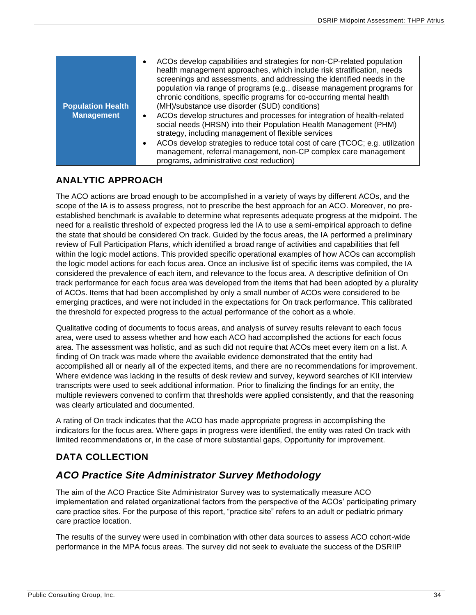| <b>Population Health</b><br><b>Management</b> | ACOs develop capabilities and strategies for non-CP-related population<br>health management approaches, which include risk stratification, needs<br>screenings and assessments, and addressing the identified needs in the<br>population via range of programs (e.g., disease management programs for<br>chronic conditions, specific programs for co-occurring mental health<br>(MH)/substance use disorder (SUD) conditions)<br>ACOs develop structures and processes for integration of health-related<br>social needs (HRSN) into their Population Health Management (PHM)<br>strategy, including management of flexible services<br>ACOs develop strategies to reduce total cost of care (TCOC; e.g. utilization<br>management, referral management, non-CP complex care management<br>programs, administrative cost reduction) |
|-----------------------------------------------|--------------------------------------------------------------------------------------------------------------------------------------------------------------------------------------------------------------------------------------------------------------------------------------------------------------------------------------------------------------------------------------------------------------------------------------------------------------------------------------------------------------------------------------------------------------------------------------------------------------------------------------------------------------------------------------------------------------------------------------------------------------------------------------------------------------------------------------|
|-----------------------------------------------|--------------------------------------------------------------------------------------------------------------------------------------------------------------------------------------------------------------------------------------------------------------------------------------------------------------------------------------------------------------------------------------------------------------------------------------------------------------------------------------------------------------------------------------------------------------------------------------------------------------------------------------------------------------------------------------------------------------------------------------------------------------------------------------------------------------------------------------|

## <span id="page-34-0"></span>**ANALYTIC APPROACH**

The ACO actions are broad enough to be accomplished in a variety of ways by different ACOs, and the scope of the IA is to assess progress, not to prescribe the best approach for an ACO. Moreover, no preestablished benchmark is available to determine what represents adequate progress at the midpoint. The need for a realistic threshold of expected progress led the IA to use a semi-empirical approach to define the state that should be considered On track. Guided by the focus areas, the IA performed a preliminary review of Full Participation Plans, which identified a broad range of activities and capabilities that fell within the logic model actions. This provided specific operational examples of how ACOs can accomplish the logic model actions for each focus area. Once an inclusive list of specific items was compiled, the IA considered the prevalence of each item, and relevance to the focus area. A descriptive definition of On track performance for each focus area was developed from the items that had been adopted by a plurality of ACOs. Items that had been accomplished by only a small number of ACOs were considered to be emerging practices, and were not included in the expectations for On track performance. This calibrated the threshold for expected progress to the actual performance of the cohort as a whole.

Qualitative coding of documents to focus areas, and analysis of survey results relevant to each focus area, were used to assess whether and how each ACO had accomplished the actions for each focus area. The assessment was holistic, and as such did not require that ACOs meet every item on a list. A finding of On track was made where the available evidence demonstrated that the entity had accomplished all or nearly all of the expected items, and there are no recommendations for improvement. Where evidence was lacking in the results of desk review and survey, keyword searches of KII interview transcripts were used to seek additional information. Prior to finalizing the findings for an entity, the multiple reviewers convened to confirm that thresholds were applied consistently, and that the reasoning was clearly articulated and documented.

A rating of On track indicates that the ACO has made appropriate progress in accomplishing the indicators for the focus area. Where gaps in progress were identified, the entity was rated On track with limited recommendations or, in the case of more substantial gaps, Opportunity for improvement.

## <span id="page-34-1"></span>**DATA COLLECTION**

## <span id="page-34-2"></span>*ACO Practice Site Administrator Survey Methodology*

The aim of the ACO Practice Site Administrator Survey was to systematically measure ACO implementation and related organizational factors from the perspective of the ACOs' participating primary care practice sites. For the purpose of this report, "practice site" refers to an adult or pediatric primary care practice location.

The results of the survey were used in combination with other data sources to assess ACO cohort-wide performance in the MPA focus areas. The survey did not seek to evaluate the success of the DSRIIP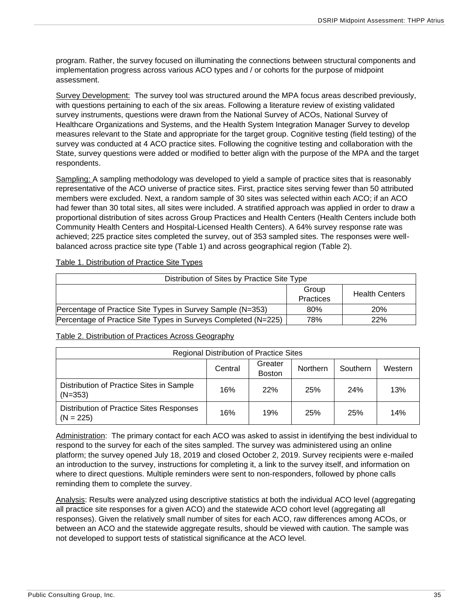program. Rather, the survey focused on illuminating the connections between structural components and implementation progress across various ACO types and / or cohorts for the purpose of midpoint assessment.

Survey Development: The survey tool was structured around the MPA focus areas described previously, with questions pertaining to each of the six areas. Following a literature review of existing validated survey instruments, questions were drawn from the National Survey of ACOs, National Survey of Healthcare Organizations and Systems, and the Health System Integration Manager Survey to develop measures relevant to the State and appropriate for the target group. Cognitive testing (field testing) of the survey was conducted at 4 ACO practice sites. Following the cognitive testing and collaboration with the State, survey questions were added or modified to better align with the purpose of the MPA and the target respondents.

Sampling: A sampling methodology was developed to yield a sample of practice sites that is reasonably representative of the ACO universe of practice sites. First, practice sites serving fewer than 50 attributed members were excluded. Next, a random sample of 30 sites was selected within each ACO; if an ACO had fewer than 30 total sites, all sites were included. A stratified approach was applied in order to draw a proportional distribution of sites across Group Practices and Health Centers (Health Centers include both Community Health Centers and Hospital-Licensed Health Centers). A 64% survey response rate was achieved; 225 practice sites completed the survey, out of 353 sampled sites. The responses were wellbalanced across practice site type (Table 1) and across geographical region (Table 2).

| Table 1. Distribution of Practice Site Types |  |  |
|----------------------------------------------|--|--|
|                                              |  |  |

| Distribution of Sites by Practice Site Type                    |                    |                       |  |  |
|----------------------------------------------------------------|--------------------|-----------------------|--|--|
|                                                                | Group<br>Practices | <b>Health Centers</b> |  |  |
| Percentage of Practice Site Types in Survey Sample (N=353)     | 80%                | <b>20%</b>            |  |  |
| Percentage of Practice Site Types in Surveys Completed (N=225) | 78%                | 22%                   |  |  |

Table 2. Distribution of Practices Across Geography

| Regional Distribution of Practice Sites                 |                                                             |     |     |            |     |  |  |  |  |  |  |
|---------------------------------------------------------|-------------------------------------------------------------|-----|-----|------------|-----|--|--|--|--|--|--|
|                                                         | Greater<br>Central<br>Southern<br>Northern<br><b>Boston</b> |     |     |            |     |  |  |  |  |  |  |
| Distribution of Practice Sites in Sample<br>$(N=353)$   | 16%                                                         | 22% | 25% | <b>24%</b> | 13% |  |  |  |  |  |  |
| Distribution of Practice Sites Responses<br>$(N = 225)$ | 16%                                                         | 19% | 25% | 25%        | 14% |  |  |  |  |  |  |

Administration: The primary contact for each ACO was asked to assist in identifying the best individual to respond to the survey for each of the sites sampled. The survey was administered using an online platform; the survey opened July 18, 2019 and closed October 2, 2019. Survey recipients were e-mailed an introduction to the survey, instructions for completing it, a link to the survey itself, and information on where to direct questions. Multiple reminders were sent to non-responders, followed by phone calls reminding them to complete the survey.

Analysis: Results were analyzed using descriptive statistics at both the individual ACO level (aggregating all practice site responses for a given ACO) and the statewide ACO cohort level (aggregating all responses). Given the relatively small number of sites for each ACO, raw differences among ACOs, or between an ACO and the statewide aggregate results, should be viewed with caution. The sample was not developed to support tests of statistical significance at the ACO level.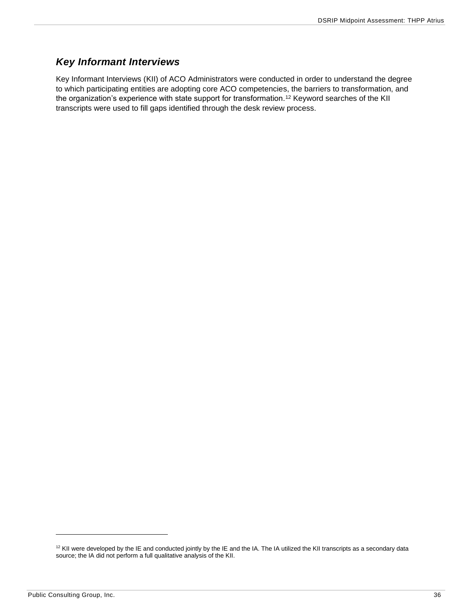## <span id="page-36-0"></span>*Key Informant Interviews*

Key Informant Interviews (KII) of ACO Administrators were conducted in order to understand the degree to which participating entities are adopting core ACO competencies, the barriers to transformation, and the organization's experience with state support for transformation.<sup>12</sup> Keyword searches of the KII transcripts were used to fill gaps identified through the desk review process.

<sup>&</sup>lt;sup>12</sup> KII were developed by the IE and conducted jointly by the IE and the IA. The IA utilized the KII transcripts as a secondary data source; the IA did not perform a full qualitative analysis of the KII.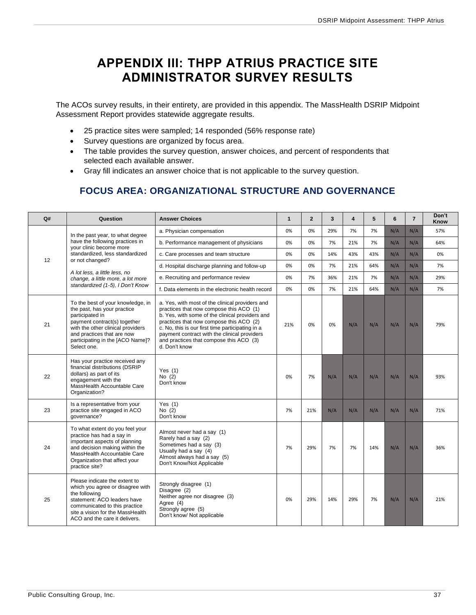## <span id="page-37-0"></span>**APPENDIX III: THPP ATRIUS PRACTICE SITE ADMINISTRATOR SURVEY RESULTS**

The ACOs survey results, in their entirety, are provided in this appendix. The MassHealth DSRIP Midpoint Assessment Report provides statewide aggregate results.

- 25 practice sites were sampled; 14 responded (56% response rate)
- Survey questions are organized by focus area.
- The table provides the survey question, answer choices, and percent of respondents that selected each available answer.
- <span id="page-37-1"></span>• Gray fill indicates an answer choice that is not applicable to the survey question.

## **FOCUS AREA: ORGANIZATIONAL STRUCTURE AND GOVERNANCE**

| Q# | Question                                                                                                                                                                                                                                  | <b>Answer Choices</b>                                                                                                                                                                                                                                                                                                                                    | $\mathbf{1}$ | $\overline{2}$ | 3   | $\overline{\mathbf{4}}$ | 5   | 6   | $\overline{7}$ | Don't<br>Know |
|----|-------------------------------------------------------------------------------------------------------------------------------------------------------------------------------------------------------------------------------------------|----------------------------------------------------------------------------------------------------------------------------------------------------------------------------------------------------------------------------------------------------------------------------------------------------------------------------------------------------------|--------------|----------------|-----|-------------------------|-----|-----|----------------|---------------|
|    | In the past year, to what degree                                                                                                                                                                                                          | a. Physician compensation                                                                                                                                                                                                                                                                                                                                | 0%           | 0%             | 29% | 7%                      | 7%  | N/A | N/A            | 57%           |
|    | have the following practices in<br>your clinic become more                                                                                                                                                                                | b. Performance management of physicians                                                                                                                                                                                                                                                                                                                  | 0%           | 0%             | 7%  | 21%                     | 7%  | N/A | N/A            | 64%           |
|    | standardized. less standardized                                                                                                                                                                                                           | c. Care processes and team structure                                                                                                                                                                                                                                                                                                                     | 0%           | 0%             | 14% | 43%                     | 43% | N/A | N/A            | 0%            |
| 12 | or not changed?                                                                                                                                                                                                                           | d. Hospital discharge planning and follow-up                                                                                                                                                                                                                                                                                                             | 0%           | 0%             | 7%  | 21%                     | 64% | N/A | N/A            | 7%            |
|    | A lot less, a little less, no<br>change, a little more, a lot more                                                                                                                                                                        | e. Recruiting and performance review                                                                                                                                                                                                                                                                                                                     | 0%           | 7%             | 36% | 21%                     | 7%  | N/A | N/A            | 29%           |
|    | standardized (1-5), I Don't Know                                                                                                                                                                                                          | f. Data elements in the electronic health record                                                                                                                                                                                                                                                                                                         | 0%           | 0%             | 7%  | 21%                     | 64% | N/A | N/A            | 7%            |
| 21 | To the best of your knowledge, in<br>the past, has your practice<br>participated in<br>payment contract(s) together<br>with the other clinical providers<br>and practices that are now<br>participating in the [ACO Name]?<br>Select one. | a. Yes, with most of the clinical providers and<br>practices that now compose this ACO (1)<br>b. Yes, with some of the clinical providers and<br>practices that now compose this ACO (2)<br>c. No, this is our first time participating in a<br>payment contract with the clinical providers<br>and practices that compose this ACO (3)<br>d. Don't know | 21%          | 0%             | 0%  | N/A                     | N/A | N/A | N/A            | 79%           |
| 22 | Has your practice received any<br>financial distributions (DSRIP<br>dollars) as part of its<br>engagement with the<br>MassHealth Accountable Care<br>Organization?                                                                        | Yes $(1)$<br>No $(2)$<br>Don't know                                                                                                                                                                                                                                                                                                                      | 0%           | 7%             | N/A | N/A                     | N/A | N/A | N/A            | 93%           |
| 23 | Is a representative from your<br>practice site engaged in ACO<br>qovernance?                                                                                                                                                              | Yes $(1)$<br>No $(2)$<br>Don't know                                                                                                                                                                                                                                                                                                                      | 7%           | 21%            | N/A | N/A                     | N/A | N/A | N/A            | 71%           |
| 24 | To what extent do you feel your<br>practice has had a say in<br>important aspects of planning<br>and decision making within the<br>MassHealth Accountable Care<br>Organization that affect your<br>practice site?                         | Almost never had a say (1)<br>Rarely had a say (2)<br>Sometimes had a say (3)<br>Usually had a say (4)<br>Almost always had a say (5)<br>Don't Know/Not Applicable                                                                                                                                                                                       | 7%           | 29%            | 7%  | 7%                      | 14% | N/A | N/A            | 36%           |
| 25 | Please indicate the extent to<br>which you agree or disagree with<br>the following<br>statement: ACO leaders have<br>communicated to this practice<br>site a vision for the MassHealth<br>ACO and the care it delivers.                   | Strongly disagree (1)<br>Disagree (2)<br>Neither agree nor disagree (3)<br>Agree (4)<br>Strongly agree (5)<br>Don't know/ Not applicable                                                                                                                                                                                                                 | 0%           | 29%            | 14% | 29%                     | 7%  | N/A | N/A            | 21%           |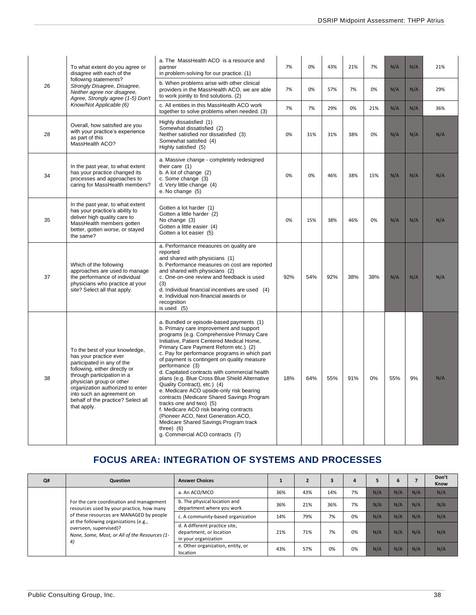|    | To what extent do you agree or<br>disagree with each of the                                                                                                                                                                                                                                             | a. The MassHealth ACO is a resource and<br>partner<br>in problem-solving for our practice. (1)                                                                                                                                                                                                                                                                                                                                                                                                                                                                                                                                                                                                                                                                                 | 7%  | 0%  | 43% | 21% | 7%  | N/A | N/A | 21% |
|----|---------------------------------------------------------------------------------------------------------------------------------------------------------------------------------------------------------------------------------------------------------------------------------------------------------|--------------------------------------------------------------------------------------------------------------------------------------------------------------------------------------------------------------------------------------------------------------------------------------------------------------------------------------------------------------------------------------------------------------------------------------------------------------------------------------------------------------------------------------------------------------------------------------------------------------------------------------------------------------------------------------------------------------------------------------------------------------------------------|-----|-----|-----|-----|-----|-----|-----|-----|
| 26 | following statements?<br>Strongly Disagree, Disagree,<br>Neither agree nor disagree.<br>Agree, Strongly agree (1-5) Don't                                                                                                                                                                               | b. When problems arise with other clinical<br>providers in the MassHealth ACO, we are able<br>to work jointly to find solutions. (2)                                                                                                                                                                                                                                                                                                                                                                                                                                                                                                                                                                                                                                           | 7%  | 0%  | 57% | 7%  | 0%  | N/A | N/A | 29% |
|    | Know/Not Applicable (6)                                                                                                                                                                                                                                                                                 | c. All entities in this MassHealth ACO work<br>together to solve problems when needed. (3)                                                                                                                                                                                                                                                                                                                                                                                                                                                                                                                                                                                                                                                                                     | 7%  | 7%  | 29% | 0%  | 21% | N/A | N/A | 36% |
| 28 | Overall, how satisfied are you<br>with your practice's experience<br>as part of this<br>MassHealth ACO?                                                                                                                                                                                                 | Highly dissatisfied (1)<br>Somewhat dissatisfied (2)<br>Neither satisfied nor dissatisfied (3)<br>Somewhat satisfied (4)<br>Highly satisfied (5)                                                                                                                                                                                                                                                                                                                                                                                                                                                                                                                                                                                                                               | 0%  | 31% | 31% | 38% | 0%  | N/A | N/A | N/A |
| 34 | In the past year, to what extent<br>has your practice changed its<br>processes and approaches to<br>caring for MassHealth members?                                                                                                                                                                      | a. Massive change - completely redesigned<br>their care $(1)$<br>b. A lot of change (2)<br>c. Some change (3)<br>d. Very little change (4)<br>e. No change (5)                                                                                                                                                                                                                                                                                                                                                                                                                                                                                                                                                                                                                 | 0%  | 0%  | 46% | 38% | 15% | N/A | N/A | N/A |
| 35 | In the past year, to what extent<br>has your practice's ability to<br>deliver high quality care to<br>MassHealth members gotten<br>better, gotten worse, or stayed<br>the same?                                                                                                                         | Gotten a lot harder (1)<br>Gotten a little harder (2)<br>No change (3)<br>Gotten a little easier (4)<br>Gotten a lot easier (5)                                                                                                                                                                                                                                                                                                                                                                                                                                                                                                                                                                                                                                                | 0%  | 15% | 38% | 46% | 0%  | N/A | N/A | N/A |
| 37 | Which of the following<br>approaches are used to manage<br>the performance of individual<br>physicians who practice at your<br>site? Select all that apply.                                                                                                                                             | a. Performance measures on quality are<br>reported<br>and shared with physicians (1)<br>b. Performance measures on cost are reported<br>and shared with physicians (2)<br>c. One-on-one review and feedback is used<br>(3)<br>d. Individual financial incentives are used (4)<br>e. Individual non-financial awards or<br>recognition<br>is used $(5)$                                                                                                                                                                                                                                                                                                                                                                                                                         | 92% | 54% | 92% | 38% | 38% | N/A | N/A | N/A |
| 38 | To the best of your knowledge,<br>has your practice ever<br>participated in any of the<br>following, either directly or<br>through participation in a<br>physician group or other<br>organization authorized to enter<br>into such an agreement on<br>behalf of the practice? Select all<br>that apply. | a. Bundled or episode-based payments (1)<br>b. Primary care improvement and support<br>programs (e.g. Comprehensive Primary Care<br>Initiative, Patient Centered Medical Home,<br>Primary Care Payment Reform etc.) (2)<br>c. Pay for performance programs in which part<br>of payment is contingent on quality measure<br>performance (3)<br>d. Capitated contracts with commercial health<br>plans (e.g. Blue Cross Blue Shield Alternative<br>Quality Contract), etc.) (4)<br>e. Medicare ACO upside-only risk bearing<br>contracts (Medicare Shared Savings Program<br>tracks one and two) (5)<br>f. Medicare ACO risk bearing contracts<br>(Pioneer ACO, Next Generation ACO,<br>Medicare Shared Savings Program track<br>three) $(6)$<br>g. Commercial ACO contracts (7) | 18% | 64% | 55% | 91% | 0%  | 55% | 9%  | N/A |

## **FOCUS AREA: INTEGRATION OF SYSTEMS AND PROCESSES**

<span id="page-38-0"></span>

| Q# | Question                                                                                                         | <b>Answer Choices</b>                                                            |     |     |     |    |     |     |     | Don't<br>Know |
|----|------------------------------------------------------------------------------------------------------------------|----------------------------------------------------------------------------------|-----|-----|-----|----|-----|-----|-----|---------------|
|    |                                                                                                                  | a. An ACO/MCO                                                                    | 36% | 43% | 14% | 7% | N/A | N/A | N/A | N/A           |
|    | For the care coordination and management<br>resources used by your practice, how many                            | b. The physical location and<br>department where you work                        | 36% | 21% | 36% | 7% | N/A | N/A | N/A | N/A           |
|    | of these resources are MANAGED by people                                                                         | c. A community-based organization                                                | 14% | 79% | 7%  | 0% | N/A | N/A | N/A | N/A           |
|    | at the following organizations (e.g.,<br>overseen, supervised)?<br>None, Some, Most, or All of the Resources (1- | d. A different practice site,<br>department, or location<br>in your organization | 21% | 71% | 7%  | 0% | N/A | N/A | N/A | N/A           |
|    | 4)                                                                                                               | e. Other organization, entity, or<br>location                                    | 43% | 57% | 0%  | 0% | N/A | N/A | N/A | N/A           |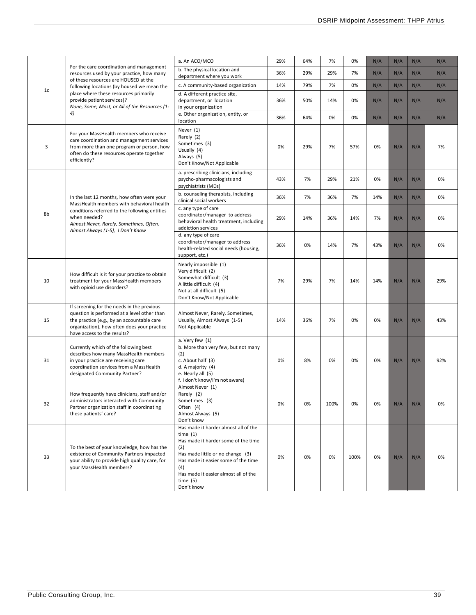|    |                                                                                                                                                                                                                       | a. An ACO/MCO                                                                                                                                                                                                                                          | 29% | 64% | 7%   | 0%   | N/A | N/A | N/A | N/A |
|----|-----------------------------------------------------------------------------------------------------------------------------------------------------------------------------------------------------------------------|--------------------------------------------------------------------------------------------------------------------------------------------------------------------------------------------------------------------------------------------------------|-----|-----|------|------|-----|-----|-----|-----|
|    | For the care coordination and management<br>resources used by your practice, how many                                                                                                                                 | b. The physical location and<br>department where you work                                                                                                                                                                                              | 36% | 29% | 29%  | 7%   | N/A | N/A | N/A | N/A |
|    | of these resources are HOUSED at the<br>following locations (by housed we mean the                                                                                                                                    | c. A community-based organization                                                                                                                                                                                                                      | 14% | 79% | 7%   | 0%   | N/A | N/A | N/A | N/A |
| 1c | place where these resources primarily<br>provide patient services)?<br>None, Some, Most, or All of the Resources (1-                                                                                                  | d. A different practice site,<br>department, or location<br>in your organization                                                                                                                                                                       | 36% | 50% | 14%  | 0%   | N/A | N/A | N/A | N/A |
|    | 4)                                                                                                                                                                                                                    | e. Other organization, entity, or<br>location                                                                                                                                                                                                          | 36% | 64% | 0%   | 0%   | N/A | N/A | N/A | N/A |
| 3  | For your MassHealth members who receive<br>care coordination and management services<br>from more than one program or person, how<br>often do these resources operate together<br>efficiently?                        | Never (1)<br>Rarely (2)<br>Sometimes (3)<br>Usually (4)<br>Always (5)<br>Don't Know/Not Applicable                                                                                                                                                     | 0%  | 29% | 7%   | 57%  | 0%  | N/A | N/A | 7%  |
|    |                                                                                                                                                                                                                       | a. prescribing clinicians, including<br>psycho-pharmacologists and<br>psychiatrists (MDs)                                                                                                                                                              | 43% | 7%  | 29%  | 21%  | 0%  | N/A | N/A | 0%  |
|    | In the last 12 months, how often were your<br>MassHealth members with behavioral health                                                                                                                               | b. counseling therapists, including<br>clinical social workers                                                                                                                                                                                         | 36% | 7%  | 36%  | 7%   | 14% | N/A | N/A | 0%  |
| 8b | conditions referred to the following entities<br>when needed?<br>Almost Never, Rarely, Sometimes, Often,<br>Almost Always (1-5), I Don't Know                                                                         | c. any type of care<br>coordinator/manager to address<br>behavioral health treatment, including<br>addiction services                                                                                                                                  | 29% | 14% | 36%  | 14%  | 7%  | N/A | N/A | 0%  |
|    |                                                                                                                                                                                                                       | d. any type of care<br>coordinator/manager to address<br>health-related social needs (housing,<br>support, etc.)                                                                                                                                       | 36% | 0%  | 14%  | 7%   | 43% | N/A | N/A | 0%  |
| 10 | How difficult is it for your practice to obtain<br>treatment for your MassHealth members<br>with opioid use disorders?                                                                                                | Nearly impossible (1)<br>Very difficult (2)<br>Somewhat difficult (3)<br>A little difficult (4)<br>Not at all difficult (5)<br>Don't Know/Not Applicable                                                                                               | 7%  | 29% | 7%   | 14%  | 14% | N/A | N/A | 29% |
| 15 | If screening for the needs in the previous<br>question is performed at a level other than<br>the practice (e.g., by an accountable care<br>organization), how often does your practice<br>have access to the results? | Almost Never, Rarely, Sometimes,<br>Usually, Almost Always (1-5)<br>Not Applicable                                                                                                                                                                     | 14% | 36% | 7%   | 0%   | 0%  | N/A | N/A | 43% |
| 31 | Currently which of the following best<br>describes how many MassHealth members<br>in your practice are receiving care<br>coordination services from a MassHealth<br>designated Community Partner?                     | a. Very few (1)<br>b. More than very few, but not many<br>(2)<br>c. About half (3)<br>d. A majority (4)<br>e. Nearly all (5)<br>f. I don't know/I'm not aware)                                                                                         | 0%  | 8%  | 0%   | 0%   | 0%  | N/A | N/A | 92% |
| 32 | How frequently have clinicians, staff and/or<br>administrators interacted with Community<br>Partner organization staff in coordinating<br>these patients' care?                                                       | Almost Never (1)<br>Rarely (2)<br>Sometimes (3)<br>Often (4)<br>Almost Always (5)<br>Don't know                                                                                                                                                        | 0%  | 0%  | 100% | 0%   | 0%  | N/A | N/A | 0%  |
| 33 | To the best of your knowledge, how has the<br>existence of Community Partners impacted<br>your ability to provide high quality care, for<br>your MassHealth members?                                                  | Has made it harder almost all of the<br>time $(1)$<br>Has made it harder some of the time<br>(2)<br>Has made little or no change (3)<br>Has made it easier some of the time<br>(4)<br>Has made it easier almost all of the<br>time $(5)$<br>Don't know | 0%  | 0%  | 0%   | 100% | 0%  | N/A | N/A | 0%  |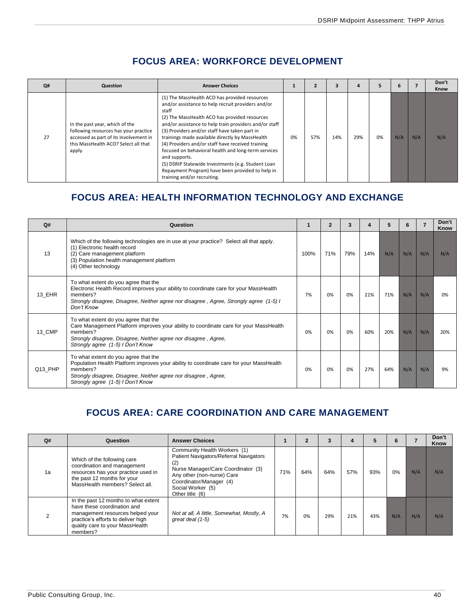<span id="page-40-0"></span>

| Q# | Question                                                                                                                                                            | <b>Answer Choices</b>                                                                                                                                                                                                                                                                                                                                                                                                                                                                                                                                                                             |    |     |     | 4   |    | 6   |     | Don't<br>Know |
|----|---------------------------------------------------------------------------------------------------------------------------------------------------------------------|---------------------------------------------------------------------------------------------------------------------------------------------------------------------------------------------------------------------------------------------------------------------------------------------------------------------------------------------------------------------------------------------------------------------------------------------------------------------------------------------------------------------------------------------------------------------------------------------------|----|-----|-----|-----|----|-----|-----|---------------|
| 27 | In the past year, which of the<br>following resources has your practice<br>accessed as part of its involvement in<br>this MassHealth ACO? Select all that<br>apply. | (1) The MassHealth ACO has provided resources<br>and/or assistance to help recruit providers and/or<br>staff<br>(2) The MassHealth ACO has provided resources<br>and/or assistance to help train providers and/or staff<br>(3) Providers and/or staff have taken part in<br>trainings made available directly by MassHealth<br>(4) Providers and/or staff have received training<br>focused on behavioral health and long-term services<br>and supports.<br>(5) DSRIP Statewide Investments (e.g. Student Loan<br>Repayment Program) have been provided to help in<br>training and/or recruiting. | 0% | 57% | 14% | 29% | 0% | N/A | N/A | N/A           |

## **FOCUS AREA: WORKFORCE DEVELOPMENT**

## <span id="page-40-1"></span>**FOCUS AREA: HEALTH INFORMATION TECHNOLOGY AND EXCHANGE**

| Q#      | Question                                                                                                                                                                                                                                            |      | $\overline{2}$ | 3   | 4   |     | 6   |     | Don't<br>Know |
|---------|-----------------------------------------------------------------------------------------------------------------------------------------------------------------------------------------------------------------------------------------------------|------|----------------|-----|-----|-----|-----|-----|---------------|
| 13      | Which of the following technologies are in use at your practice? Select all that apply.<br>(1) Electronic health record<br>(2) Care management platform<br>(3) Population health management platform<br>(4) Other technology                        | 100% | 71%            | 79% | 14% | N/A | N/A | N/A | N/A           |
| 13 EHR  | To what extent do you agree that the<br>Electronic Health Record improves your ability to coordinate care for your MassHealth<br>members?<br>Strongly disagree, Disagree, Neither agree nor disagree, Agree, Strongly agree (1-5) I<br>Don't Know   | 7%   | 0%             | 0%  | 21% | 71% | N/A | N/A | 0%            |
| 13 CMP  | To what extent do you agree that the<br>Care Management Platform improves your ability to coordinate care for your MassHealth<br>members?<br>Strongly disagree, Disagree, Neither agree nor disagree, Agree,<br>Strongly agree (1-5) I Don't Know   | 0%   | 0%             | 0%  | 60% | 20% | N/A | N/A | 20%           |
| Q13 PHP | To what extent do you agree that the<br>Population Health Platform improves your ability to coordinate care for your MassHealth<br>members?<br>Strongly disagree, Disagree, Neither agree nor disagree, Agree,<br>Strongly agree (1-5) I Don't Know | 0%   | 0%             | 0%  | 27% | 64% | N/A | N/A | 9%            |

## <span id="page-40-2"></span>**FOCUS AREA: CARE COORDINATION AND CARE MANAGEMENT**

| Q# | Question                                                                                                                                                                                     | <b>Answer Choices</b>                                                                                                                                                                                                |     | $\overline{2}$ |     |     |     | 6   |     | Don't<br>Know |
|----|----------------------------------------------------------------------------------------------------------------------------------------------------------------------------------------------|----------------------------------------------------------------------------------------------------------------------------------------------------------------------------------------------------------------------|-----|----------------|-----|-----|-----|-----|-----|---------------|
| 1a | Which of the following care<br>coordination and management<br>resources has your practice used in<br>the past 12 months for your<br>MassHealth members? Select all.                          | Community Health Workers (1)<br>Patient Navigators/Referral Navigators<br>(2)<br>Nurse Manager/Care Coordinator (3)<br>Any other (non-nurse) Care<br>Coordinator/Manager (4)<br>Social Worker (5)<br>Other title (6) | 71% | 64%            | 64% | 57% | 93% | 0%  | N/A | N/A           |
|    | In the past 12 months to what extent<br>have these coordination and<br>management resources helped your<br>practice's efforts to deliver high<br>quality care to your MassHealth<br>members? | Not at all, A little, Somewhat, Mostly, A<br>great deal (1-5)                                                                                                                                                        | 7%  | 0%             | 29% | 21% | 43% | N/A | N/A | N/A           |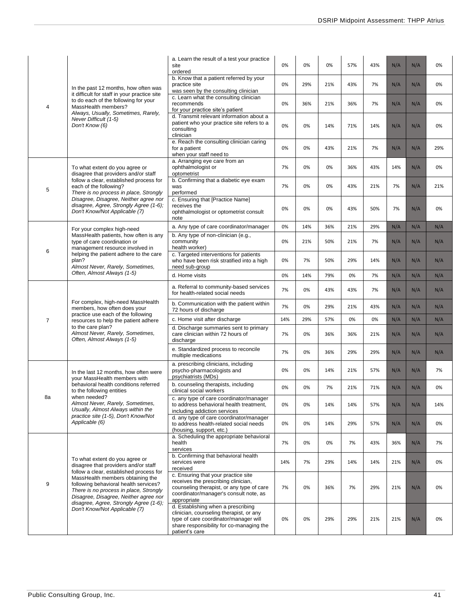|                |                                                                                                                                                                                                                                                   | a. Learn the result of a test your practice<br>site<br>ordered                                                                                                                       | 0%  | 0%  | 0%  | 57% | 43% | N/A | N/A | 0%  |
|----------------|---------------------------------------------------------------------------------------------------------------------------------------------------------------------------------------------------------------------------------------------------|--------------------------------------------------------------------------------------------------------------------------------------------------------------------------------------|-----|-----|-----|-----|-----|-----|-----|-----|
|                | In the past 12 months, how often was                                                                                                                                                                                                              | b. Know that a patient referred by your<br>practice site<br>was seen by the consulting clinician                                                                                     | 0%  | 29% | 21% | 43% | 7%  | N/A | N/A | 0%  |
| 4              | it difficult for staff in your practice site<br>to do each of the following for your<br>MassHealth members?                                                                                                                                       | c. Learn what the consulting clinician<br>recommends<br>for your practice site's patient                                                                                             | 0%  | 36% | 21% | 36% | 7%  | N/A | N/A | 0%  |
|                | Always, Usually, Sometimes, Rarely,<br>Never Difficult (1-5)<br>Don't Know (6)                                                                                                                                                                    | d. Transmit relevant information about a<br>patient who your practice site refers to a<br>consulting<br>clinician                                                                    | 0%  | 0%  | 14% | 71% | 14% | N/A | N/A | 0%  |
|                |                                                                                                                                                                                                                                                   | e. Reach the consulting clinician caring<br>for a patient<br>when your staff need to                                                                                                 | 0%  | 0%  | 43% | 21% | 7%  | N/A | N/A | 29% |
|                | To what extent do you agree or<br>disagree that providers and/or staff                                                                                                                                                                            | a. Arranging eye care from an<br>ophthalmologist or<br>optometrist                                                                                                                   | 7%  | 0%  | 0%  | 36% | 43% | 14% | N/A | 0%  |
| 5              | follow a clear, established process for<br>each of the following?<br>There is no process in place, Strongly                                                                                                                                       | b. Confirming that a diabetic eye exam<br>was<br>performed                                                                                                                           | 7%  | 0%  | 0%  | 43% | 21% | 7%  | N/A | 21% |
|                | Disagree, Disagree, Neither agree nor<br>disagree, Agree, Strongly Agree (1-6);<br>Don't Know/Not Applicable (7)                                                                                                                                  | c. Ensuring that [Practice Name]<br>receives the<br>ophthalmologist or optometrist consult<br>note                                                                                   | 0%  | 0%  | 0%  | 43% | 50% | 7%  | N/A | 0%  |
|                | For your complex high-need                                                                                                                                                                                                                        | a. Any type of care coordinator/manager                                                                                                                                              | 0%  | 14% | 36% | 21% | 29% | N/A | N/A | N/A |
|                | MassHealth patients, how often is any<br>type of care coordination or<br>management resource involved in                                                                                                                                          | b. Any type of non-clinician (e.g.,<br>community<br>health worker)                                                                                                                   | 0%  | 21% | 50% | 21% | 7%  | N/A | N/A | N/A |
| 6              | helping the patient adhere to the care<br>plan?<br>Almost Never, Rarely, Sometimes,                                                                                                                                                               | c. Targeted interventions for patients<br>who have been risk stratified into a high<br>need sub-group                                                                                | 0%  | 7%  | 50% | 29% | 14% | N/A | N/A | N/A |
|                | Often, Almost Always (1-5)                                                                                                                                                                                                                        | d. Home visits                                                                                                                                                                       | 0%  | 14% | 79% | 0%  | 7%  | N/A | N/A | N/A |
|                |                                                                                                                                                                                                                                                   | a. Referral to community-based services<br>for health-related social needs                                                                                                           | 7%  | 0%  | 43% | 43% | 7%  | N/A | N/A | N/A |
|                | For complex, high-need MassHealth<br>members, how often does your<br>practice use each of the following                                                                                                                                           | b. Communication with the patient within<br>72 hours of discharge                                                                                                                    | 7%  | 0%  | 29% | 21% | 43% | N/A | N/A | N/A |
| $\overline{7}$ | resources to help the patient adhere                                                                                                                                                                                                              | c. Home visit after discharge                                                                                                                                                        | 14% | 29% | 57% | 0%  | 0%  | N/A | N/A | N/A |
|                | to the care plan?<br>Almost Never, Rarely, Sometimes,<br>Often, Almost Always (1-5)                                                                                                                                                               | d. Discharge summaries sent to primary<br>care clinician within 72 hours of<br>discharge                                                                                             | 7%  | 0%  | 36% | 36% | 21% | N/A | N/A | N/A |
|                |                                                                                                                                                                                                                                                   | e. Standardized process to reconcile<br>multiple medications                                                                                                                         | 7%  | 0%  | 36% | 29% | 29% | N/A | N/A | N/A |
|                | In the last 12 months, how often were<br>your MassHealth members with                                                                                                                                                                             | a. prescribing clinicians, including<br>psycho-pharmacologists and<br>psychiatrists (MDs)                                                                                            | 0%  | 0%  | 14% | 21% | 57% | N/A | N/A | 7%  |
|                | behavioral health conditions referred<br>to the following entities                                                                                                                                                                                | b. counseling therapists, including<br>clinical social workers                                                                                                                       | 0%  | 0%  | 7%  | 21% | 71% | N/A | N/A | 0%  |
| 8a             | when needed?<br>Almost Never, Rarely, Sometimes,<br>Usually, Almost Always within the                                                                                                                                                             | c. any type of care coordinator/manager<br>to address behavioral health treatment,<br>including addiction services                                                                   | 0%  | 0%  | 14% | 14% | 57% | N/A | N/A | 14% |
|                | practice site (1-5), Don't Know/Not<br>Applicable (6)                                                                                                                                                                                             | d. any type of care coordinator/manager<br>to address health-related social needs<br>(housing, support, etc.)                                                                        | 0%  | 0%  | 14% | 29% | 57% | N/A | N/A | 0%  |
|                |                                                                                                                                                                                                                                                   | a. Scheduling the appropriate behavioral<br>health<br>services                                                                                                                       | 7%  | 0%  | 0%  | 7%  | 43% | 36% | N/A | 7%  |
|                | To what extent do you agree or<br>disagree that providers and/or staff                                                                                                                                                                            | b. Confirming that behavioral health<br>services were<br>received                                                                                                                    | 14% | 7%  | 29% | 14% | 14% | 21% | N/A | 0%  |
| 9              | follow a clear, established process for<br>MassHealth members obtaining the<br>following behavioral health services?<br>There is no process in place, Strongly<br>Disagree, Disagree, Neither agree nor<br>disagree, Agree, Strongly Agree (1-6); | c. Ensuring that your practice site<br>receives the prescribing clinician,<br>counseling therapist, or any type of care<br>coordinator/manager's consult note, as<br>appropriate     | 7%  | 0%  | 36% | 7%  | 29% | 21% | N/A | 0%  |
|                | Don't Know/Not Applicable (7)                                                                                                                                                                                                                     | d. Establishing when a prescribing<br>clinician, counseling therapist, or any<br>type of care coordinator/manager will<br>share responsibility for co-managing the<br>patient's care | 0%  | 0%  | 29% | 29% | 21% | 21% | N/A | 0%  |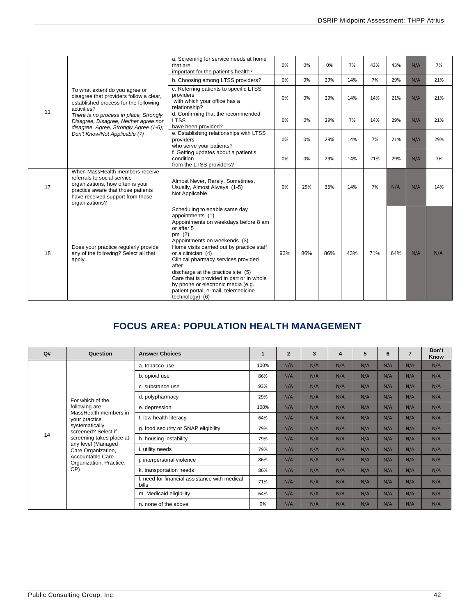|    |                                                                                                                                                                                                | a. Screening for service needs at home<br>that are<br>important for the patient's health?                                                                                                                                                                                                                                                                                                                                                                   | 0%  | 0%  | 0%  | 7%  | 43% | 43% | N/A | 7%  |
|----|------------------------------------------------------------------------------------------------------------------------------------------------------------------------------------------------|-------------------------------------------------------------------------------------------------------------------------------------------------------------------------------------------------------------------------------------------------------------------------------------------------------------------------------------------------------------------------------------------------------------------------------------------------------------|-----|-----|-----|-----|-----|-----|-----|-----|
|    |                                                                                                                                                                                                | b. Choosing among LTSS providers?                                                                                                                                                                                                                                                                                                                                                                                                                           | 0%  | 0%  | 29% | 14% | 7%  | 29% | N/A | 21% |
|    | To what extent do you agree or<br>disagree that providers follow a clear,<br>established process for the following<br>activities?                                                              | c. Referring patients to specific LTSS<br>providers<br>with which your office has a<br>relationship?                                                                                                                                                                                                                                                                                                                                                        | 0%  | 0%  | 29% | 14% | 14% | 21% | N/A | 21% |
| 11 | There is no process in place, Strongly<br>Disagree, Disagree, Neither agree nor<br>disagree, Agree, Strongly Agree (1-6);                                                                      | d. Confirming that the recommended<br><b>LTSS</b><br>have been provided?                                                                                                                                                                                                                                                                                                                                                                                    | 0%  | 0%  | 29% | 7%  | 14% | 29% | N/A | 21% |
|    | Don't Know/Not Applicable (7)                                                                                                                                                                  | e. Establishing relationships with LTSS<br>providers<br>who serve your patients?                                                                                                                                                                                                                                                                                                                                                                            | 0%  | 0%  | 29% | 14% | 7%  | 21% | N/A | 29% |
|    |                                                                                                                                                                                                | f. Getting updates about a patient's<br>condition<br>from the LTSS providers?                                                                                                                                                                                                                                                                                                                                                                               | 0%  | 0%  | 29% | 14% | 21% | 29% | N/A | 7%  |
| 17 | When MassHealth members receive<br>referrals to social service<br>organizations, how often is your<br>practice aware that those patients<br>have received support from those<br>organizations? | Almost Never, Rarely, Sometimes,<br>Usually, Almost Always (1-5)<br>Not Applicable                                                                                                                                                                                                                                                                                                                                                                          | 0%  | 29% | 36% | 14% | 7%  | N/A | N/A | 14% |
| 18 | Does your practice regularly provide<br>any of the following? Select all that<br>apply.                                                                                                        | Scheduling to enable same day<br>appointments (1)<br>Appointments on weekdays before 8 am<br>or after 5<br>pm $(2)$<br>Appointments on weekends (3)<br>Home visits carried out by practice staff<br>or a clinician (4)<br>Clinical pharmacy services provided<br>after<br>discharge at the practice site (5)<br>Care that is provided in part or in whole<br>by phone or electronic media (e.g.,<br>patient portal, e-mail, telemedicine<br>technology) (6) | 93% | 86% | 86% | 43% | 71% | 64% | N/A | N/A |

## **FOCUS AREA: POPULATION HEALTH MANAGEMENT**

<span id="page-42-0"></span>

| Q# | Question                                    | <b>Answer Choices</b>                                  |      | $\overline{2}$ | 3   | 4   | 5   | 6   | $\overline{7}$ | Don't<br>Know |
|----|---------------------------------------------|--------------------------------------------------------|------|----------------|-----|-----|-----|-----|----------------|---------------|
|    |                                             | a. tobacco use                                         | 100% | N/A            | N/A | N/A | N/A | N/A | N/A            | N/A           |
|    |                                             | b. opioid use                                          | 86%  | N/A            | N/A | N/A | N/A | N/A | N/A            | N/A           |
|    |                                             | c. substance use                                       | 93%  | N/A            | N/A | N/A | N/A | N/A | N/A            | N/A           |
|    | For which of the                            | d. polypharmacy                                        | 29%  | N/A            | N/A | N/A | N/A | N/A | N/A            | N/A           |
|    | following are                               | e. depression                                          | 100% | N/A            | N/A | N/A | N/A | N/A | N/A            | N/A           |
|    | MassHealth members in<br>your practice      | f. low health literacy                                 | 64%  | N/A            | N/A | N/A | N/A | N/A | N/A            | N/A           |
|    | systematically<br>screened? Select if       | g. food security or SNAP eligibility                   | 79%  | N/A            | N/A | N/A | N/A | N/A | N/A            | N/A           |
| 14 | screening takes place at                    | h. housing instability                                 | 79%  | N/A            | N/A | N/A | N/A | N/A | N/A            | N/A           |
|    | any level (Managed<br>Care Organization,    | i. utility needs                                       | 79%  | N/A            | N/A | N/A | N/A | N/A | N/A            | N/A           |
|    | Accountable Care<br>Organization, Practice, | j. interpersonal violence                              | 86%  | N/A            | N/A | N/A | N/A | N/A | N/A            | N/A           |
|    | CP)                                         | k. transportation needs                                | 86%  | N/A            | N/A | N/A | N/A | N/A | N/A            | N/A           |
|    |                                             | I. need for financial assistance with medical<br>bills | 71%  | N/A            | N/A | N/A | N/A | N/A | N/A            | N/A           |
|    |                                             | m. Medicaid eligibility                                | 64%  | N/A            | N/A | N/A | N/A | N/A | N/A            | N/A           |
|    |                                             | n. none of the above                                   | 0%   | N/A            | N/A | N/A | N/A | N/A | N/A            | N/A           |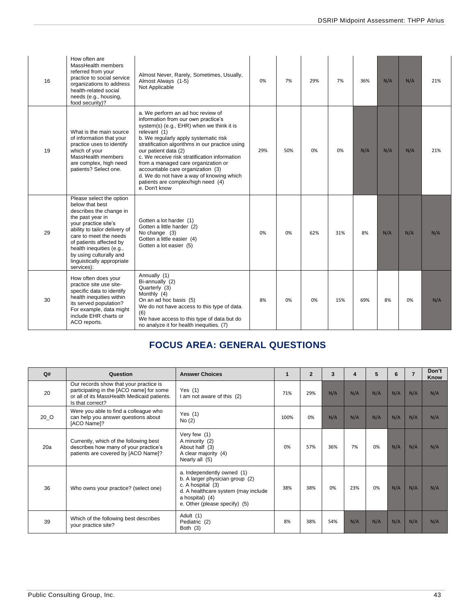| 16 | How often are<br>MassHealth members<br>referred from your<br>practice to social service<br>organizations to address<br>health-related social<br>needs (e.g., housing,<br>food security)?                                                                                                                    | Almost Never, Rarely, Sometimes, Usually,<br>Almost Always (1-5)<br>Not Applicable                                                                                                                                                                                                                                                                                                                                                                                                        | 0%  | 7%  | 29% | 7%  | 36% | N/A | N/A | 21% |
|----|-------------------------------------------------------------------------------------------------------------------------------------------------------------------------------------------------------------------------------------------------------------------------------------------------------------|-------------------------------------------------------------------------------------------------------------------------------------------------------------------------------------------------------------------------------------------------------------------------------------------------------------------------------------------------------------------------------------------------------------------------------------------------------------------------------------------|-----|-----|-----|-----|-----|-----|-----|-----|
| 19 | What is the main source<br>of information that your<br>practice uses to identify<br>which of your<br>MassHealth members<br>are complex, high need<br>patients? Select one.                                                                                                                                  | a. We perform an ad hoc review of<br>information from our own practice's<br>system(s) (e.g., EHR) when we think it is<br>relevant (1)<br>b. We regularly apply systematic risk<br>stratification algorithms in our practice using<br>our patient data (2)<br>c. We receive risk stratification information<br>from a managed care organization or<br>accountable care organization (3)<br>d. We do not have a way of knowing which<br>patients are complex/high need (4)<br>e. Don't know | 29% | 50% | 0%  | 0%  | N/A | N/A | N/A | 21% |
| 29 | Please select the option<br>below that best<br>describes the change in<br>the past year in<br>your practice site's<br>ability to tailor delivery of<br>care to meet the needs<br>of patients affected by<br>health inequities (e.g.,<br>by using culturally and<br>linguistically appropriate<br>services): | Gotten a lot harder (1)<br>Gotten a little harder (2)<br>No change (3)<br>Gotten a little easier (4)<br>Gotten a lot easier (5)                                                                                                                                                                                                                                                                                                                                                           | 0%  | 0%  | 62% | 31% | 8%  | N/A | N/A | N/A |
| 30 | How often does your<br>practice site use site-<br>specific data to identify<br>health inequities within<br>its served population?<br>For example, data might<br>include EHR charts or<br>ACO reports.                                                                                                       | Annually (1)<br>Bi-annually (2)<br>Quarterly (3)<br>Monthly (4)<br>On an ad hoc basis (5)<br>We do not have access to this type of data.<br>(6)<br>We have access to this type of data but do<br>no analyze it for health inequities. (7)                                                                                                                                                                                                                                                 | 8%  | 0%  | 0%  | 15% | 69% | 8%  | 0%  | N/A |

## **FOCUS AREA: GENERAL QUESTIONS**

<span id="page-43-0"></span>

| Q#   | Question                                                                                                                                              | <b>Answer Choices</b>                                                                                                                                                         | 1    | $\overline{2}$ | 3   | $\boldsymbol{4}$ | 5   | 6   | $\overline{7}$ | Don't<br>Know |
|------|-------------------------------------------------------------------------------------------------------------------------------------------------------|-------------------------------------------------------------------------------------------------------------------------------------------------------------------------------|------|----------------|-----|------------------|-----|-----|----------------|---------------|
| 20   | Our records show that your practice is<br>participating in the [ACO name] for some<br>or all of its MassHealth Medicaid patients.<br>Is that correct? | Yes $(1)$<br>I am not aware of this (2)                                                                                                                                       | 71%  | 29%            | N/A | N/A              | N/A | N/A | N/A            | N/A           |
| 20 O | Were you able to find a colleague who<br>can help you answer questions about<br>[ACO Name]?                                                           | Yes $(1)$<br>No(2)                                                                                                                                                            | 100% | 0%             | N/A | N/A              | N/A | N/A | N/A            | N/A           |
| 20a  | Currently, which of the following best<br>describes how many of your practice's<br>patients are covered by [ACO Name]?                                | Very few (1)<br>A minority (2)<br>About half (3)<br>A clear majority (4)<br>Nearly all (5)                                                                                    | 0%   | 57%            | 36% | 7%               | 0%  | N/A | N/A            | N/A           |
| 36   | Who owns your practice? (select one)                                                                                                                  | a. Independently owned (1)<br>b. A larger physician group (2)<br>c. A hospital (3)<br>d. A healthcare system (may include<br>a hospital) (4)<br>e. Other (please specify) (5) | 38%  | 38%            | 0%  | 23%              | 0%  | N/A | N/A            | N/A           |
| 39   | Which of the following best describes<br>your practice site?                                                                                          | Adult (1)<br>Pediatric (2)<br>Both $(3)$                                                                                                                                      | 8%   | 38%            | 54% | N/A              | N/A | N/A | N/A            | N/A           |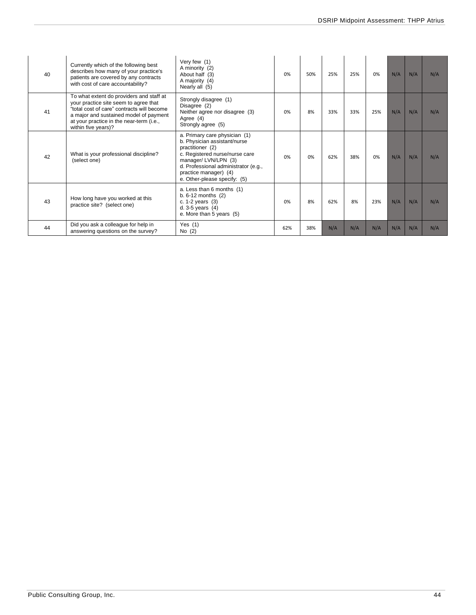| 40 | Currently which of the following best<br>describes how many of your practice's<br>patients are covered by any contracts<br>with cost of care accountability?                                                                                 | Very few (1)<br>A minority (2)<br>About half (3)<br>A majority (4)<br>Nearly all (5)                                                                                                                                                        | 0%  | 50% | 25% | 25% | 0%  | N/A | N/A | N/A |
|----|----------------------------------------------------------------------------------------------------------------------------------------------------------------------------------------------------------------------------------------------|---------------------------------------------------------------------------------------------------------------------------------------------------------------------------------------------------------------------------------------------|-----|-----|-----|-----|-----|-----|-----|-----|
| 41 | To what extent do providers and staff at<br>your practice site seem to agree that<br>"total cost of care" contracts will become<br>a major and sustained model of payment<br>at your practice in the near-term (i.e.,<br>within five years)? | Strongly disagree (1)<br>Disagree (2)<br>Neither agree nor disagree (3)<br>Agree (4)<br>Strongly agree (5)                                                                                                                                  | 0%  | 8%  | 33% | 33% | 25% | N/A | N/A | N/A |
| 42 | What is your professional discipline?<br>(select one)                                                                                                                                                                                        | a. Primary care physician (1)<br>b. Physician assistant/nurse<br>practitioner (2)<br>c. Registered nurse/nurse care<br>manager/LVN/LPN (3)<br>d. Professional administrator (e.g.,<br>practice manager) (4)<br>e. Other-please specify: (5) | 0%  | 0%  | 62% | 38% | 0%  | N/A | N/A | N/A |
| 43 | How long have you worked at this<br>practice site? (select one)                                                                                                                                                                              | a. Less than 6 months (1)<br>$b. 6-12$ months $(2)$<br>c. $1-2$ years $(3)$<br>d. $3-5$ years $(4)$<br>e. More than 5 years (5)                                                                                                             | 0%  | 8%  | 62% | 8%  | 23% | N/A | N/A | N/A |
| 44 | Did you ask a colleague for help in<br>answering questions on the survey?                                                                                                                                                                    | Yes $(1)$<br>No (2)                                                                                                                                                                                                                         | 62% | 38% | N/A | N/A | N/A | N/A | N/A | N/A |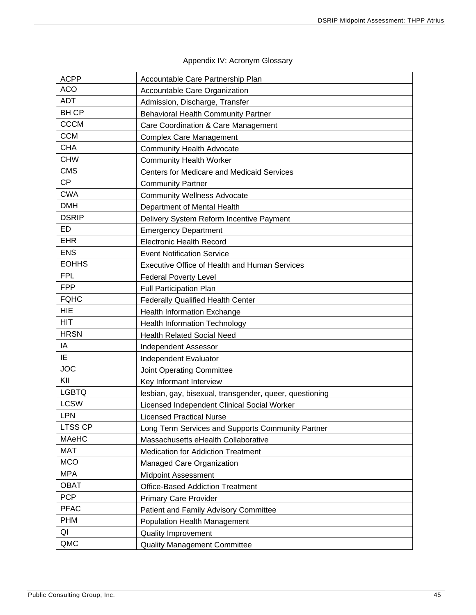<span id="page-45-0"></span>

| <b>ACPP</b>  | Accountable Care Partnership Plan                       |
|--------------|---------------------------------------------------------|
| <b>ACO</b>   | Accountable Care Organization                           |
| <b>ADT</b>   | Admission, Discharge, Transfer                          |
| <b>BHCP</b>  | <b>Behavioral Health Community Partner</b>              |
| <b>CCCM</b>  | Care Coordination & Care Management                     |
| <b>CCM</b>   | <b>Complex Care Management</b>                          |
| <b>CHA</b>   | <b>Community Health Advocate</b>                        |
| <b>CHW</b>   | <b>Community Health Worker</b>                          |
| <b>CMS</b>   | Centers for Medicare and Medicaid Services              |
| <b>CP</b>    | <b>Community Partner</b>                                |
| <b>CWA</b>   | <b>Community Wellness Advocate</b>                      |
| <b>DMH</b>   | Department of Mental Health                             |
| <b>DSRIP</b> | Delivery System Reform Incentive Payment                |
| ED           | <b>Emergency Department</b>                             |
| <b>EHR</b>   | <b>Electronic Health Record</b>                         |
| <b>ENS</b>   | <b>Event Notification Service</b>                       |
| <b>EOHHS</b> | <b>Executive Office of Health and Human Services</b>    |
| <b>FPL</b>   | <b>Federal Poverty Level</b>                            |
| <b>FPP</b>   | <b>Full Participation Plan</b>                          |
| <b>FQHC</b>  | <b>Federally Qualified Health Center</b>                |
| <b>HIE</b>   | <b>Health Information Exchange</b>                      |
| <b>HIT</b>   | <b>Health Information Technology</b>                    |
| <b>HRSN</b>  | <b>Health Related Social Need</b>                       |
| IA           | <b>Independent Assessor</b>                             |
| IE           | Independent Evaluator                                   |
| <b>JOC</b>   | Joint Operating Committee                               |
| KII          | Key Informant Interview                                 |
| <b>LGBTQ</b> | lesbian, gay, bisexual, transgender, queer, questioning |
| <b>LCSW</b>  | Licensed Independent Clinical Social Worker             |
| <b>LPN</b>   | <b>Licensed Practical Nurse</b>                         |
| LTSS CP      | Long Term Services and Supports Community Partner       |
| <b>MAeHC</b> | Massachusetts eHealth Collaborative                     |
| <b>MAT</b>   | <b>Medication for Addiction Treatment</b>               |
| <b>MCO</b>   | Managed Care Organization                               |
| <b>MPA</b>   | <b>Midpoint Assessment</b>                              |
| <b>OBAT</b>  | <b>Office-Based Addiction Treatment</b>                 |
| <b>PCP</b>   | <b>Primary Care Provider</b>                            |
| <b>PFAC</b>  | Patient and Family Advisory Committee                   |
| <b>PHM</b>   | Population Health Management                            |
| QI           | <b>Quality Improvement</b>                              |
| QMC          | <b>Quality Management Committee</b>                     |

## Appendix IV: Acronym Glossary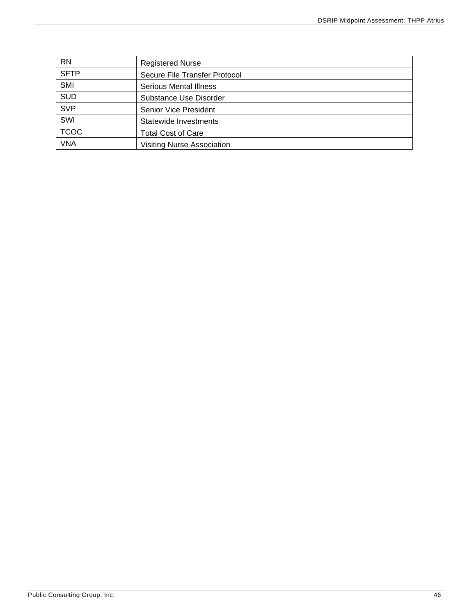| <b>RN</b>   | <b>Registered Nurse</b>           |
|-------------|-----------------------------------|
| <b>SFTP</b> | Secure File Transfer Protocol     |
| SMI         | <b>Serious Mental Illness</b>     |
| <b>SUD</b>  | Substance Use Disorder            |
| <b>SVP</b>  | <b>Senior Vice President</b>      |
| SWI         | Statewide Investments             |
| <b>TCOC</b> | <b>Total Cost of Care</b>         |
| <b>VNA</b>  | <b>Visiting Nurse Association</b> |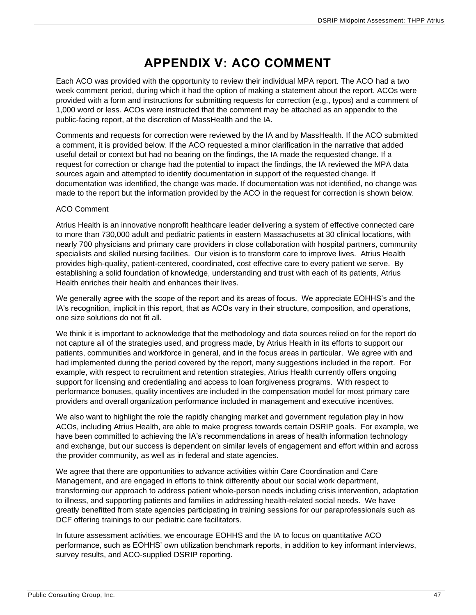## **APPENDIX V: ACO COMMENT**

<span id="page-47-0"></span>Each ACO was provided with the opportunity to review their individual MPA report. The ACO had a two week comment period, during which it had the option of making a statement about the report. ACOs were provided with a form and instructions for submitting requests for correction (e.g., typos) and a comment of 1,000 word or less. ACOs were instructed that the comment may be attached as an appendix to the public-facing report, at the discretion of MassHealth and the IA.

Comments and requests for correction were reviewed by the IA and by MassHealth. If the ACO submitted a comment, it is provided below. If the ACO requested a minor clarification in the narrative that added useful detail or context but had no bearing on the findings, the IA made the requested change. If a request for correction or change had the potential to impact the findings, the IA reviewed the MPA data sources again and attempted to identify documentation in support of the requested change. If documentation was identified, the change was made. If documentation was not identified, no change was made to the report but the information provided by the ACO in the request for correction is shown below.

#### ACO Comment

Atrius Health is an innovative nonprofit healthcare leader delivering a system of effective connected care to more than 730,000 adult and pediatric patients in eastern Massachusetts at 30 clinical locations, with nearly 700 physicians and primary care providers in close collaboration with hospital partners, community specialists and skilled nursing facilities. Our vision is to transform care to improve lives. Atrius Health provides high-quality, patient-centered, coordinated, cost effective care to every patient we serve. By establishing a solid foundation of knowledge, understanding and trust with each of its patients, Atrius Health enriches their health and enhances their lives.

We generally agree with the scope of the report and its areas of focus. We appreciate EOHHS's and the IA's recognition, implicit in this report, that as ACOs vary in their structure, composition, and operations, one size solutions do not fit all.

We think it is important to acknowledge that the methodology and data sources relied on for the report do not capture all of the strategies used, and progress made, by Atrius Health in its efforts to support our patients, communities and workforce in general, and in the focus areas in particular. We agree with and had implemented during the period covered by the report, many suggestions included in the report. For example, with respect to recruitment and retention strategies, Atrius Health currently offers ongoing support for licensing and credentialing and access to loan forgiveness programs. With respect to performance bonuses, quality incentives are included in the compensation model for most primary care providers and overall organization performance included in management and executive incentives.

We also want to highlight the role the rapidly changing market and government regulation play in how ACOs, including Atrius Health, are able to make progress towards certain DSRIP goals. For example, we have been committed to achieving the IA's recommendations in areas of health information technology and exchange, but our success is dependent on similar levels of engagement and effort within and across the provider community, as well as in federal and state agencies.

We agree that there are opportunities to advance activities within Care Coordination and Care Management, and are engaged in efforts to think differently about our social work department, transforming our approach to address patient whole-person needs including crisis intervention, adaptation to illness, and supporting patients and families in addressing health-related social needs. We have greatly benefitted from state agencies participating in training sessions for our paraprofessionals such as DCF offering trainings to our pediatric care facilitators.

In future assessment activities, we encourage EOHHS and the IA to focus on quantitative ACO performance, such as EOHHS' own utilization benchmark reports, in addition to key informant interviews, survey results, and ACO-supplied DSRIP reporting.